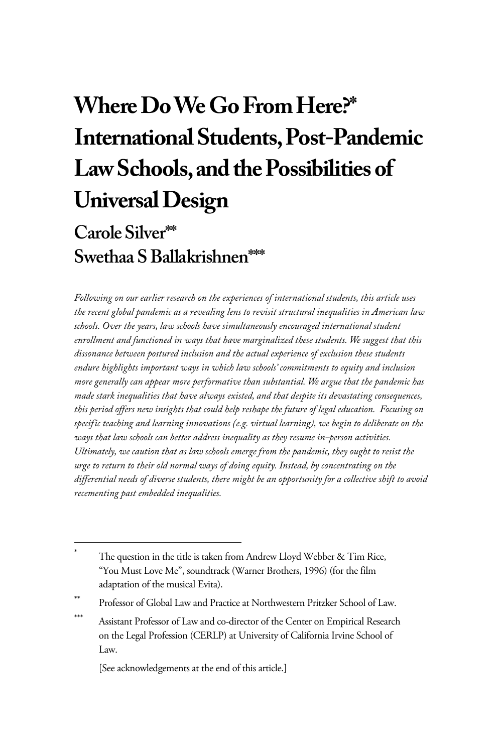# **Where Do We Go From Here?\* International Students, Post-Pandemic Law Schools, and the Possibilities of Universal Design**

# **Carole Silver\*\* Swethaa S Ballakrishnen\*\*\***

*Following on our earlier research on the experiences of international students, this article uses the recent global pandemic as a revealing lens to revisit structural inequalities in American law schools. Over the years, law schools have simultaneously encouraged international student enrollment and functioned in ways that have marginalized these students. We suggest that this dissonance between postured inclusion and the actual experience of exclusion these students endure highlights important ways in which law schools' commitments to equity and inclusion more generally can appear more performative than substantial. We argue that the pandemic has made stark inequalities that have always existed, and that despite its devastating consequences, this period offers new insights that could help reshape the future of legal education. Focusing on specific teaching and learning innovations (e.g. virtual learning), we begin to deliberate on the ways that law schools can better address inequality as they resume in-person activities. Ultimately, we caution that as law schools emerge from the pandemic, they ought to resist the urge to return to their old normal ways of doing equity. Instead, by concentrating on the differential needs of diverse students, there might be an opportunity for a collective shift to avoid recementing past embedded inequalities.* 

[See acknowledgements at the end of this article.]

<sup>\*</sup> The question in the title is taken from Andrew Lloyd Webber & Tim Rice, "You Must Love Me", soundtrack (Warner Brothers, 1996) (for the film adaptation of the musical Evita).

Professor of Global Law and Practice at Northwestern Pritzker School of Law.

<sup>\*\*\*</sup> Assistant Professor of Law and co-director of the Center on Empirical Research on the Legal Profession (CERLP) at University of California Irvine School of Law.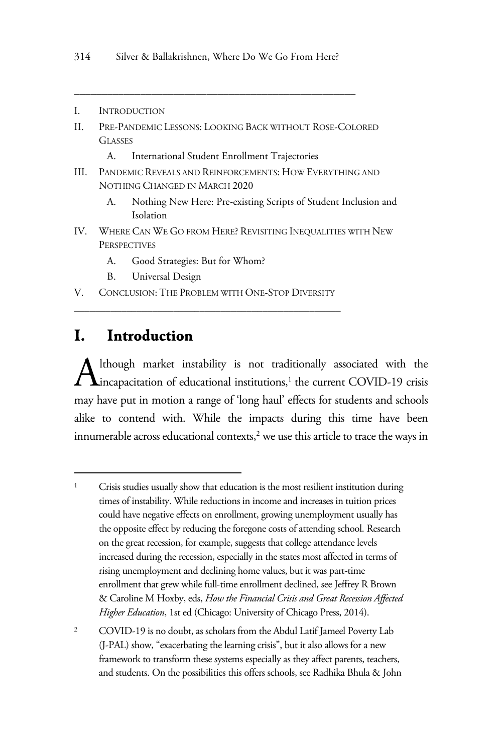- I. INTRODUCTION
- II. PRE-PANDEMIC LESSONS: LOOKING BACK WITHOUT ROSE-COLORED **GLASSES** 
	- A. International Student Enrollment Trajectories

*\_\_\_\_\_\_\_\_\_\_\_\_\_\_\_\_\_\_\_\_\_\_\_\_\_\_\_\_\_\_\_\_\_\_\_\_\_\_\_\_\_\_\_\_\_\_\_\_\_\_\_*

- III. PANDEMIC REVEALS AND REINFORCEMENTS: HOW EVERYTHING AND NOTHING CHANGED IN MARCH 2020
	- A. Nothing New Here: Pre-existing Scripts of Student Inclusion and Isolation
- IV. WHERE CAN WE GO FROM HERE? REVISITING INEQUALITIES WITH NEW **PERSPECTIVES** 
	- A. Good Strategies: But for Whom?
	- B. Universal Design
- V. CONCLUSION: THE PROBLEM WITH ONE-STOP DIVERSITY \_\_\_\_\_\_\_\_\_\_\_\_\_\_\_\_\_\_\_\_\_\_\_\_\_\_\_\_\_\_\_\_\_\_\_\_\_\_\_\_\_\_\_\_\_\_\_\_\_\_\_

#### **I. Introduction**

lthough market instability is not traditionally associated with the Although market instability is not traditionally associated with the incapacitation of educational institutions,<sup>1</sup> the current COVID-19 crisis may have put in motion a range of 'long haul' effects for students and schools alike to contend with. While the impacts during this time have been innumerable across educational contexts, $2$  we use this article to trace the ways in

<sup>&</sup>lt;sup>1</sup> Crisis studies usually show that education is the most resilient institution during times of instability. While reductions in income and increases in tuition prices could have negative effects on enrollment, growing unemployment usually has the opposite effect by reducing the foregone costs of attending school. Research on the great recession, for example, suggests that college attendance levels increased during the recession, especially in the states most affected in terms of rising unemployment and declining home values, but it was part-time enrollment that grew while full-time enrollment declined, see Jeffrey R Brown & Caroline M Hoxby, eds, *How the Financial Crisis and Great Recession Affected Higher Education*, 1st ed (Chicago: University of Chicago Press, 2014).

<sup>&</sup>lt;sup>2</sup> COVID-19 is no doubt, as scholars from the Abdul Latif Jameel Poverty Lab (J-PAL) show, "exacerbating the learning crisis", but it also allows for a new framework to transform these systems especially as they affect parents, teachers, and students. On the possibilities this offers schools, see Radhika Bhula & John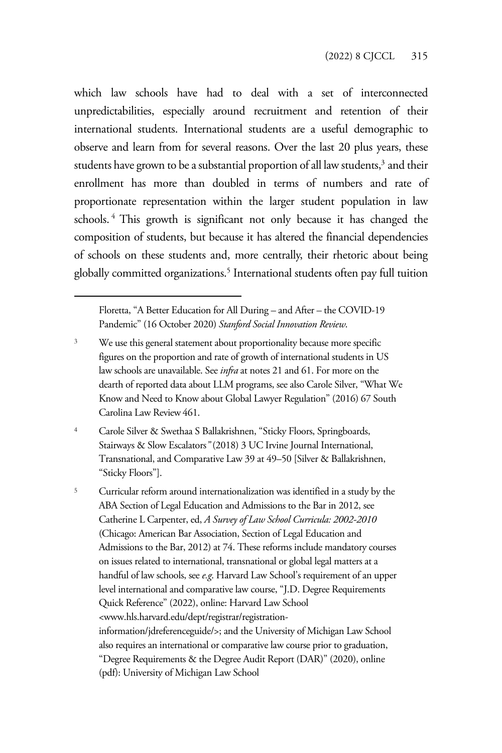which law schools have had to deal with a set of interconnected unpredictabilities, especially around recruitment and retention of their international students. International students are a useful demographic to observe and learn from for several reasons. Over the last 20 plus years, these students have grown to be a substantial proportion of all law students, $^3$  and their enrollment has more than doubled in terms of numbers and rate of proportionate representation within the larger student population in law schools.<sup>4</sup> This growth is significant not only because it has changed the composition of students, but because it has altered the financial dependencies of schools on these students and, more centrally, their rhetoric about being globally committed organizations.5 International students often pay full tuition

Floretta, "A Better Education for All During – and After – the COVID-19 Pandemic" (16 October 2020) *Stanford Social Innovation Review*.

- <sup>3</sup> We use this general statement about proportionality because more specific figures on the proportion and rate of growth of international students in US law schools are unavailable. See *infra* at notes 21 and 61. For more on the dearth of reported data about LLM programs, see also Carole Silver, "What We Know and Need to Know about Global Lawyer Regulation" (2016) 67 South Carolina Law Review 461.
- <sup>4</sup> Carole Silver & Swethaa S Ballakrishnen, "Sticky Floors, Springboards, Stairways & Slow Escalators*"* (2018) 3 UC Irvine Journal International, Transnational, and Comparative Law 39 at 49–50 [Silver & Ballakrishnen, "Sticky Floors"].

<sup>5</sup> Curricular reform around internationalization was identified in a study by the ABA Section of Legal Education and Admissions to the Bar in 2012, see Catherine L Carpenter, ed, *A Survey of Law School Curricula: 2002-2010*  (Chicago: American Bar Association, Section of Legal Education and Admissions to the Bar, 2012) at 74. These reforms include mandatory courses on issues related to international, transnational or global legal matters at a handful of law schools, see *e.g*. Harvard Law School's requirement of an upper level international and comparative law course, "J.D. Degree Requirements Quick Reference" (2022), online: Harvard Law School <www.hls.harvard.edu/dept/registrar/registrationinformation/jdreferenceguide/>; and the University of Michigan Law School also requires an international or comparative law course prior to graduation, "Degree Requirements & the Degree Audit Report (DAR)" (2020), online (pdf): University of Michigan Law School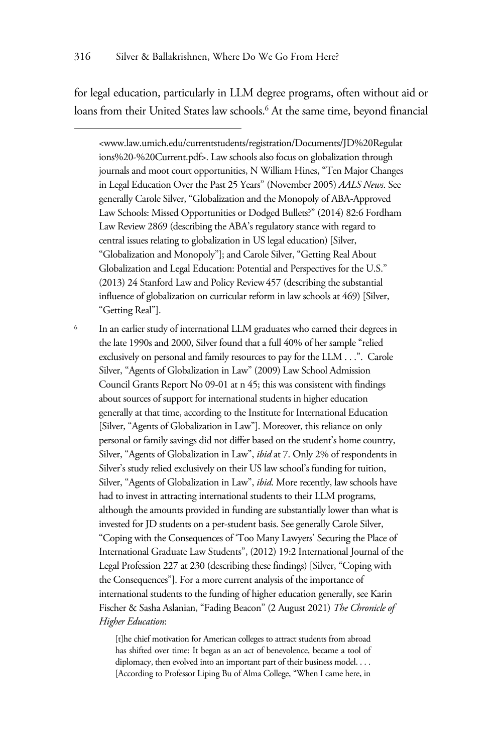for legal education, particularly in LLM degree programs, often without aid or loans from their United States law schools.<sup>6</sup> At the same time, beyond financial

<www.law.umich.edu/currentstudents/registration/Documents/JD%20Regulat ions%20-%20Current.pdf>. Law schools also focus on globalization through journals and moot court opportunities, N William Hines, "Ten Major Changes in Legal Education Over the Past 25 Years" (November 2005) *AALS News*. See generally Carole Silver, "Globalization and the Monopoly of ABA-Approved Law Schools: Missed Opportunities or Dodged Bullets?" (2014) 82:6 Fordham Law Review 2869 (describing the ABA's regulatory stance with regard to central issues relating to globalization in US legal education) [Silver, "Globalization and Monopoly"]; and Carole Silver, "Getting Real About Globalization and Legal Education: Potential and Perspectives for the U.S." (2013) 24 Stanford Law and Policy Review457 (describing the substantial influence of globalization on curricular reform in law schools at 469) [Silver, "Getting Real"].

<sup>6</sup> In an earlier study of international LLM graduates who earned their degrees in the late 1990s and 2000, Silver found that a full 40% of her sample "relied exclusively on personal and family resources to pay for the LLM . . .". Carole Silver, "Agents of Globalization in Law" (2009) Law School Admission Council Grants Report No 09-01 at n 45; this was consistent with findings about sources of support for international students in higher education generally at that time, according to the Institute for International Education [Silver, "Agents of Globalization in Law"]. Moreover, this reliance on only personal or family savings did not differ based on the student's home country, Silver, "Agents of Globalization in Law", *ibid* at 7. Only 2% of respondents in Silver's study relied exclusively on their US law school's funding for tuition, Silver, "Agents of Globalization in Law", *ibid*. More recently, law schools have had to invest in attracting international students to their LLM programs, although the amounts provided in funding are substantially lower than what is invested for JD students on a per-student basis. See generally Carole Silver, "Coping with the Consequences of 'Too Many Lawyers' Securing the Place of International Graduate Law Students", (2012) 19:2 International Journal of the Legal Profession 227 at 230 (describing these findings) [Silver, "Coping with the Consequences"]. For a more current analysis of the importance of international students to the funding of higher education generally, see Karin Fischer & Sasha Aslanian, "Fading Beacon" (2 August 2021) *The Chronicle of Higher Education*:

> [t]he chief motivation for American colleges to attract students from abroad has shifted over time: It began as an act of benevolence, became a tool of diplomacy, then evolved into an important part of their business model. . . . [According to Professor Liping Bu of Alma College, "When I came here, in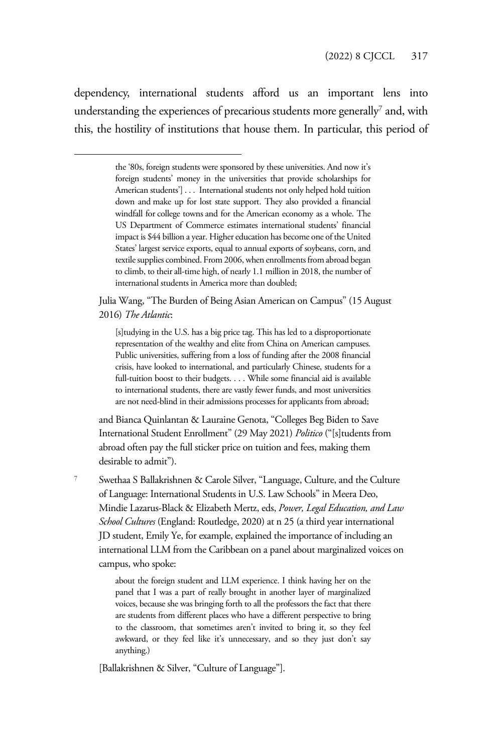dependency, international students afford us an important lens into understanding the experiences of precarious students more generally<sup>7</sup> and, with this, the hostility of institutions that house them. In particular, this period of

> the '80s, foreign students were sponsored by these universities. And now it's foreign students' money in the universities that provide scholarships for American students'] . . . International students not only helped hold tuition down and make up for lost state support. They also provided a financial windfall for college towns and for the American economy as a whole. The US Department of Commerce estimates international students' financial impact is \$44 billion a year. Higher education has become one of the United States' largest service exports, equal to annual exports of soybeans, corn, and textile supplies combined. From 2006, when enrollments from abroad began to climb, to their all-time high, of nearly 1.1 million in 2018, the number of international students in America more than doubled;

Julia Wang, "The Burden of Being Asian American on Campus" (15 August 2016) *The Atlantic*:

[s]tudying in the U.S. has a big price tag. This has led to a disproportionate representation of the wealthy and elite from China on American campuses. Public universities, suffering from a loss of funding after the 2008 financial crisis, have looked to international, and particularly Chinese, students for a full-tuition boost to their budgets. . . . While some financial aid is available to international students, there are vastly fewer funds, and most universities are not need-blind in their admissions processes for applicants from abroad;

and Bianca Quinlantan & Lauraine Genota, "Colleges Beg Biden to Save International Student Enrollment" (29 May 2021) *Politico* ("[s]tudents from abroad often pay the full sticker price on tuition and fees, making them desirable to admit").

<sup>7</sup> Swethaa S Ballakrishnen & Carole Silver, "Language, Culture, and the Culture of Language: International Students in U.S. Law Schools" in Meera Deo, Mindie Lazarus-Black & Elizabeth Mertz, eds, *Power, Legal Education, and Law School Cultures* (England: Routledge, 2020) at n 25 (a third year international JD student, Emily Ye, for example, explained the importance of including an international LLM from the Caribbean on a panel about marginalized voices on campus, who spoke:

> about the foreign student and LLM experience. I think having her on the panel that I was a part of really brought in another layer of marginalized voices, because she was bringing forth to all the professors the fact that there are students from different places who have a different perspective to bring to the classroom, that sometimes aren't invited to bring it, so they feel awkward, or they feel like it's unnecessary, and so they just don't say anything.)

[Ballakrishnen & Silver, "Culture of Language"].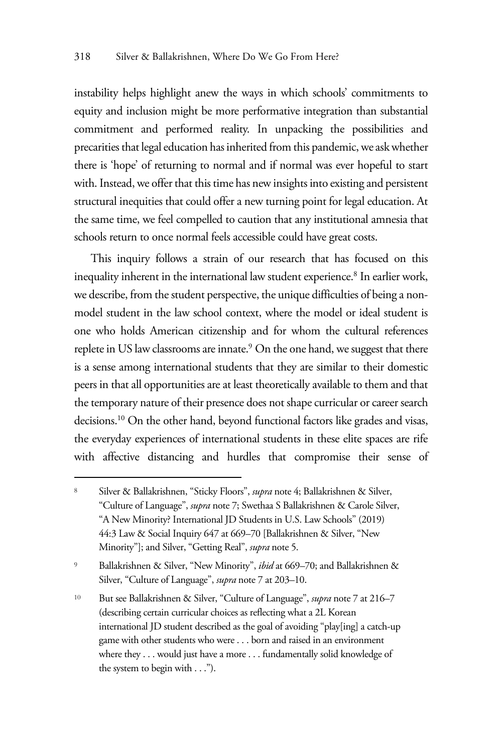instability helps highlight anew the ways in which schools' commitments to equity and inclusion might be more performative integration than substantial commitment and performed reality. In unpacking the possibilities and precarities that legal education has inherited from this pandemic, we ask whether there is 'hope' of returning to normal and if normal was ever hopeful to start with. Instead, we offer that this time has new insights into existing and persistent structural inequities that could offer a new turning point for legal education. At the same time, we feel compelled to caution that any institutional amnesia that schools return to once normal feels accessible could have great costs.

This inquiry follows a strain of our research that has focused on this inequality inherent in the international law student experience.<sup>8</sup> In earlier work, we describe, from the student perspective, the unique difficulties of being a nonmodel student in the law school context, where the model or ideal student is one who holds American citizenship and for whom the cultural references replete in US law classrooms are innate.<sup>9</sup> On the one hand, we suggest that there is a sense among international students that they are similar to their domestic peers in that all opportunities are at least theoretically available to them and that the temporary nature of their presence does not shape curricular or career search decisions.10 On the other hand, beyond functional factors like grades and visas, the everyday experiences of international students in these elite spaces are rife with affective distancing and hurdles that compromise their sense of

<sup>8</sup> Silver & Ballakrishnen, "Sticky Floors", *supra* note 4; Ballakrishnen & Silver, "Culture of Language", *supra* note 7; Swethaa S Ballakrishnen & Carole Silver, "A New Minority? International JD Students in U.S. Law Schools" (2019) 44:3 Law & Social Inquiry 647 at 669–70 [Ballakrishnen & Silver, "New Minority"]; and Silver, "Getting Real", *supra* note 5.

<sup>9</sup> Ballakrishnen & Silver, "New Minority", *ibid* at 669–70; and Ballakrishnen & Silver, "Culture of Language", *supra* note 7 at 203–10.

<sup>10</sup> But see Ballakrishnen & Silver, "Culture of Language", *supra* note 7 at 216–7 (describing certain curricular choices as reflecting what a 2L Korean international JD student described as the goal of avoiding "play[ing] a catch-up game with other students who were . . . born and raised in an environment where they . . . would just have a more . . . fundamentally solid knowledge of the system to begin with . . .").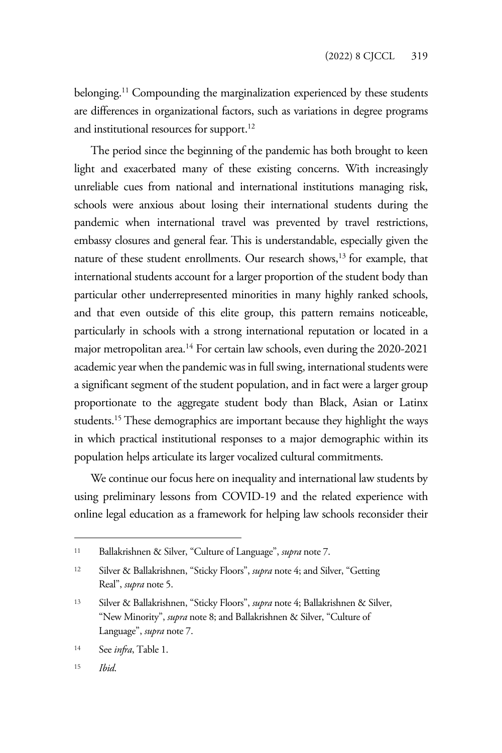belonging.<sup>11</sup> Compounding the marginalization experienced by these students are differences in organizational factors, such as variations in degree programs and institutional resources for support.<sup>12</sup>

The period since the beginning of the pandemic has both brought to keen light and exacerbated many of these existing concerns. With increasingly unreliable cues from national and international institutions managing risk, schools were anxious about losing their international students during the pandemic when international travel was prevented by travel restrictions, embassy closures and general fear. This is understandable, especially given the nature of these student enrollments. Our research shows,<sup>13</sup> for example, that international students account for a larger proportion of the student body than particular other underrepresented minorities in many highly ranked schools, and that even outside of this elite group, this pattern remains noticeable, particularly in schools with a strong international reputation or located in a major metropolitan area.<sup>14</sup> For certain law schools, even during the 2020-2021 academic year when the pandemic was in full swing, international students were a significant segment of the student population, and in fact were a larger group proportionate to the aggregate student body than Black, Asian or Latinx students.15 These demographics are important because they highlight the ways in which practical institutional responses to a major demographic within its population helps articulate its larger vocalized cultural commitments.

We continue our focus here on inequality and international law students by using preliminary lessons from COVID-19 and the related experience with online legal education as a framework for helping law schools reconsider their

<sup>11</sup> Ballakrishnen & Silver, "Culture of Language", *supra* note 7.

<sup>12</sup> Silver & Ballakrishnen, "Sticky Floors", *supra* note 4; and Silver, "Getting Real", *supra* note 5.

<sup>13</sup> Silver & Ballakrishnen, "Sticky Floors", *supra* note 4; Ballakrishnen & Silver, "New Minority", *supra* note 8; and Ballakrishnen & Silver, "Culture of Language", *supra* note 7.

<sup>14</sup> See *infra*, Table 1.

<sup>15</sup> *Ibid*.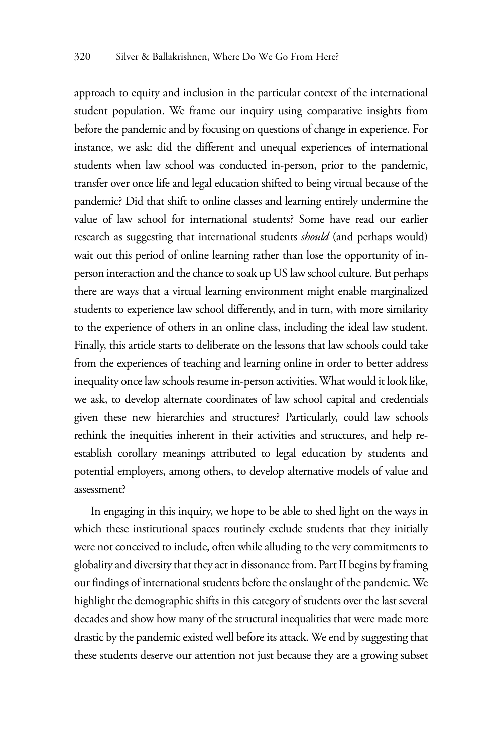approach to equity and inclusion in the particular context of the international student population. We frame our inquiry using comparative insights from before the pandemic and by focusing on questions of change in experience. For instance, we ask: did the different and unequal experiences of international students when law school was conducted in-person, prior to the pandemic, transfer over once life and legal education shifted to being virtual because of the pandemic? Did that shift to online classes and learning entirely undermine the value of law school for international students? Some have read our earlier research as suggesting that international students *should* (and perhaps would) wait out this period of online learning rather than lose the opportunity of inperson interaction and the chance to soak up US law school culture. But perhaps there are ways that a virtual learning environment might enable marginalized students to experience law school differently, and in turn, with more similarity to the experience of others in an online class, including the ideal law student. Finally, this article starts to deliberate on the lessons that law schools could take from the experiences of teaching and learning online in order to better address inequality once law schools resume in-person activities. What would it look like, we ask, to develop alternate coordinates of law school capital and credentials given these new hierarchies and structures? Particularly, could law schools rethink the inequities inherent in their activities and structures, and help reestablish corollary meanings attributed to legal education by students and potential employers, among others, to develop alternative models of value and assessment?

In engaging in this inquiry, we hope to be able to shed light on the ways in which these institutional spaces routinely exclude students that they initially were not conceived to include, often while alluding to the very commitments to globality and diversity that they act in dissonance from. Part II begins by framing our findings of international students before the onslaught of the pandemic. We highlight the demographic shifts in this category of students over the last several decades and show how many of the structural inequalities that were made more drastic by the pandemic existed well before its attack. We end by suggesting that these students deserve our attention not just because they are a growing subset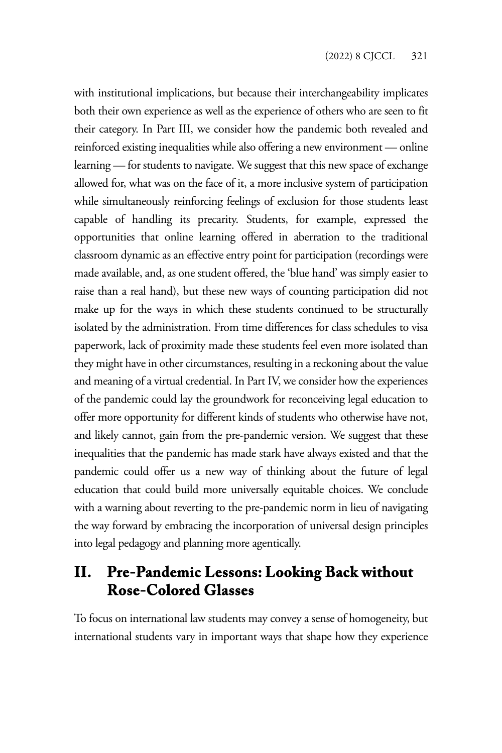with institutional implications, but because their interchangeability implicates both their own experience as well as the experience of others who are seen to fit their category. In Part III, we consider how the pandemic both revealed and reinforced existing inequalities while also offering a new environment — online learning — for students to navigate. We suggest that this new space of exchange allowed for, what was on the face of it, a more inclusive system of participation while simultaneously reinforcing feelings of exclusion for those students least capable of handling its precarity. Students, for example, expressed the opportunities that online learning offered in aberration to the traditional classroom dynamic as an effective entry point for participation (recordings were made available, and, as one student offered, the 'blue hand' was simply easier to raise than a real hand), but these new ways of counting participation did not make up for the ways in which these students continued to be structurally isolated by the administration. From time differences for class schedules to visa paperwork, lack of proximity made these students feel even more isolated than they might have in other circumstances, resulting in a reckoning about the value and meaning of a virtual credential. In Part IV, we consider how the experiences of the pandemic could lay the groundwork for reconceiving legal education to offer more opportunity for different kinds of students who otherwise have not, and likely cannot, gain from the pre-pandemic version. We suggest that these inequalities that the pandemic has made stark have always existed and that the pandemic could offer us a new way of thinking about the future of legal education that could build more universally equitable choices. We conclude with a warning about reverting to the pre-pandemic norm in lieu of navigating the way forward by embracing the incorporation of universal design principles into legal pedagogy and planning more agentically.

### **II. Pre-Pandemic Lessons: Looking Back without Rose-Colored Glasses**

To focus on international law students may convey a sense of homogeneity, but international students vary in important ways that shape how they experience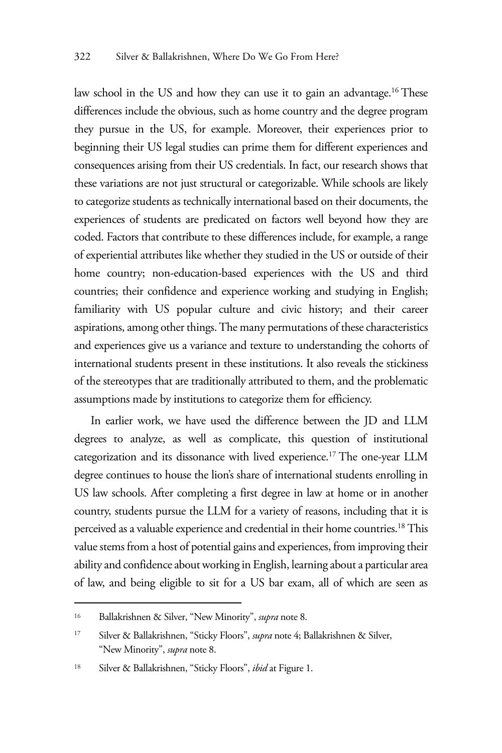law school in the US and how they can use it to gain an advantage.<sup>16</sup> These differences include the obvious, such as home country and the degree program they pursue in the US, for example. Moreover, their experiences prior to beginning their US legal studies can prime them for different experiences and consequences arising from their US credentials. In fact, our research shows that these variations are not just structural or categorizable. While schools are likely to categorize students as technically international based on their documents, the experiences of students are predicated on factors well beyond how they are coded. Factors that contribute to these differences include, for example, a range of experiential attributes like whether they studied in the US or outside of their home country; non-education-based experiences with the US and third countries; their confidence and experience working and studying in English; familiarity with US popular culture and civic history; and their career aspirations, among other things. The many permutations of these characteristics and experiences give us a variance and texture to understanding the cohorts of international students present in these institutions. It also reveals the stickiness of the stereotypes that are traditionally attributed to them, and the problematic assumptions made by institutions to categorize them for efficiency.

In earlier work, we have used the difference between the JD and LLM degrees to analyze, as well as complicate, this question of institutional categorization and its dissonance with lived experience.<sup>17</sup> The one-year LLM degree continues to house the lion's share of international students enrolling in US law schools. After completing a first degree in law at home or in another country, students pursue the LLM for a variety of reasons, including that it is perceived as a valuable experience and credential in their home countries.18 This value stems from a host of potential gains and experiences, from improving their ability and confidence about working in English, learning about a particular area of law, and being eligible to sit for a US bar exam, all of which are seen as

<sup>16</sup> Ballakrishnen & Silver, "New Minority", *supra* note 8.

<sup>17</sup> Silver & Ballakrishnen, "Sticky Floors", *supra* note 4; Ballakrishnen & Silver, "New Minority", *supra* note 8.

<sup>18</sup> Silver & Ballakrishnen, "Sticky Floors", *ibid* at Figure 1.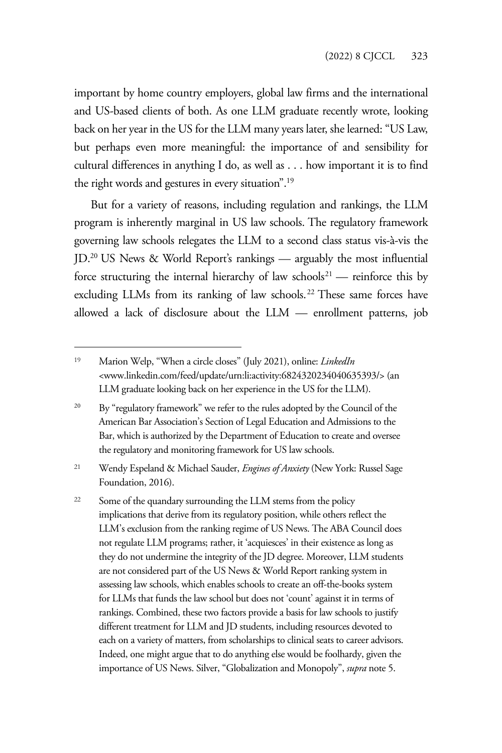important by home country employers, global law firms and the international and US-based clients of both. As one LLM graduate recently wrote, looking back on her year in the US for the LLM many years later, she learned: "US Law, but perhaps even more meaningful: the importance of and sensibility for cultural differences in anything I do, as well as . . . how important it is to find the right words and gestures in every situation".19

But for a variety of reasons, including regulation and rankings, the LLM program is inherently marginal in US law schools. The regulatory framework governing law schools relegates the LLM to a second class status vis-à-vis the JD.20 US News & World Report's rankings — arguably the most influential force structuring the internal hierarchy of law schools<sup>21</sup> — reinforce this by excluding LLMs from its ranking of law schools.<sup>22</sup> These same forces have allowed a lack of disclosure about the LLM — enrollment patterns, job

<sup>21</sup> Wendy Espeland & Michael Sauder, *Engines of Anxiety* (New York: Russel Sage Foundation, 2016).

<sup>19</sup> Marion Welp, "When a circle closes" (July 2021), online: *LinkedIn* <www.linkedin.com/feed/update/urn:li:activity:6824320234040635393/> (an LLM graduate looking back on her experience in the US for the LLM).

<sup>&</sup>lt;sup>20</sup> By "regulatory framework" we refer to the rules adopted by the Council of the American Bar Association's Section of Legal Education and Admissions to the Bar, which is authorized by the Department of Education to create and oversee the regulatory and monitoring framework for US law schools.

<sup>&</sup>lt;sup>22</sup> Some of the quandary surrounding the LLM stems from the policy implications that derive from its regulatory position, while others reflect the LLM's exclusion from the ranking regime of US News. The ABA Council does not regulate LLM programs; rather, it 'acquiesces' in their existence as long as they do not undermine the integrity of the JD degree. Moreover, LLM students are not considered part of the US News & World Report ranking system in assessing law schools, which enables schools to create an off-the-books system for LLMs that funds the law school but does not 'count' against it in terms of rankings. Combined, these two factors provide a basis for law schools to justify different treatment for LLM and JD students, including resources devoted to each on a variety of matters, from scholarships to clinical seats to career advisors. Indeed, one might argue that to do anything else would be foolhardy, given the importance of US News. Silver, "Globalization and Monopoly", *supra* note 5.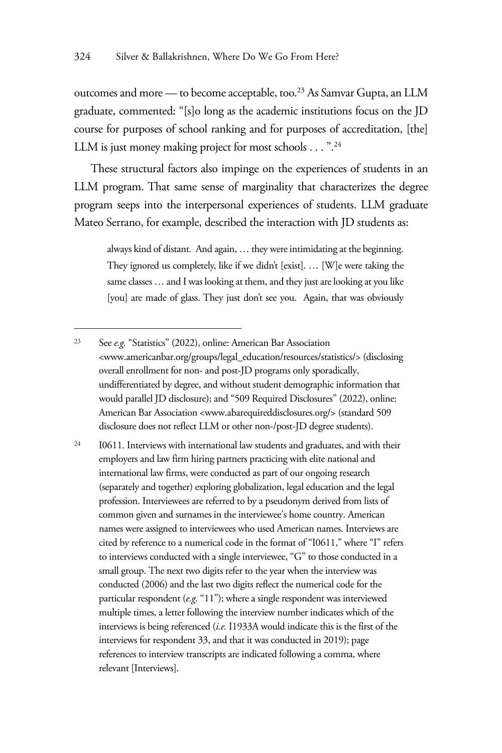outcomes and more — to become acceptable, too.<sup>23</sup> As Samvar Gupta, an LLM graduate, commented: "[s]o long as the academic institutions focus on the JD course for purposes of school ranking and for purposes of accreditation, [the] LLM is just money making project for most schools . . . ".<sup>24</sup>

These structural factors also impinge on the experiences of students in an LLM program. That same sense of marginality that characterizes the degree program seeps into the interpersonal experiences of students. LLM graduate Mateo Serrano, for example, described the interaction with JD students as:

always kind of distant. And again, … they were intimidating at the beginning. They ignored us completely, like if we didn't [exist]. … [W]e were taking the same classes … and I was looking at them, and they just are looking at you like [you] are made of glass. They just don't see you. Again, that was obviously

<sup>24</sup> I0611. Interviews with international law students and graduates, and with their employers and law firm hiring partners practicing with elite national and international law firms, were conducted as part of our ongoing research (separately and together) exploring globalization, legal education and the legal profession. Interviewees are referred to by a pseudonym derived from lists of common given and surnames in the interviewee's home country. American names were assigned to interviewees who used American names. Interviews are cited by reference to a numerical code in the format of "I0611," where "I" refers to interviews conducted with a single interviewee, "G" to those conducted in a small group. The next two digits refer to the year when the interview was conducted (2006) and the last two digits reflect the numerical code for the particular respondent (*e.g.* "11"); where a single respondent was interviewed multiple times, a letter following the interview number indicates which of the interviews is being referenced (*i.e.* I1933A would indicate this is the first of the interviews for respondent 33, and that it was conducted in 2019); page references to interview transcripts are indicated following a comma, where relevant [Interviews].

<sup>23</sup> See *e.g.* "Statistics" (2022), online: American Bar Association <www.americanbar.org/groups/legal\_education/resources/statistics/> (disclosing overall enrollment for non- and post-JD programs only sporadically, undifferentiated by degree, and without student demographic information that would parallel JD disclosure); and "509 Required Disclosures" (2022), online: American Bar Association <www.abarequireddisclosures.org/> (standard 509 disclosure does not reflect LLM or other non-/post-JD degree students).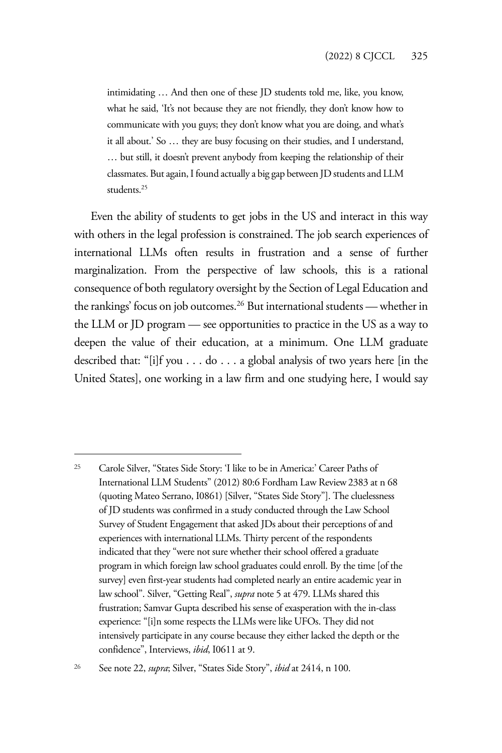intimidating … And then one of these JD students told me, like, you know, what he said, 'It's not because they are not friendly, they don't know how to communicate with you guys; they don't know what you are doing, and what's it all about.' So … they are busy focusing on their studies, and I understand, … but still, it doesn't prevent anybody from keeping the relationship of their classmates. But again, I found actually a big gap between JD students and LLM students.<sup>25</sup>

Even the ability of students to get jobs in the US and interact in this way with others in the legal profession is constrained. The job search experiences of international LLMs often results in frustration and a sense of further marginalization. From the perspective of law schools, this is a rational consequence of both regulatory oversight by the Section of Legal Education and the rankings' focus on job outcomes.26 But international students — whether in the LLM or JD program — see opportunities to practice in the US as a way to deepen the value of their education, at a minimum. One LLM graduate described that: "[i]f you . . . do . . . a global analysis of two years here [in the United States], one working in a law firm and one studying here, I would say

26 See note 22, *supra*; Silver, "States Side Story", *ibid* at 2414, n 100.

<sup>25</sup> Carole Silver, "States Side Story: 'I like to be in America:' Career Paths of International LLM Students" (2012) 80:6 Fordham Law Review2383 at n 68 (quoting Mateo Serrano, I0861) [Silver, "States Side Story"]. The cluelessness of JD students was confirmed in a study conducted through the Law School Survey of Student Engagement that asked JDs about their perceptions of and experiences with international LLMs. Thirty percent of the respondents indicated that they "were not sure whether their school offered a graduate program in which foreign law school graduates could enroll. By the time [of the survey] even first-year students had completed nearly an entire academic year in law school". Silver, "Getting Real", *supra* note 5 at 479. LLMs shared this frustration; Samvar Gupta described his sense of exasperation with the in-class experience: "[i]n some respects the LLMs were like UFOs. They did not intensively participate in any course because they either lacked the depth or the confidence", Interviews, *ibid*, I0611 at 9.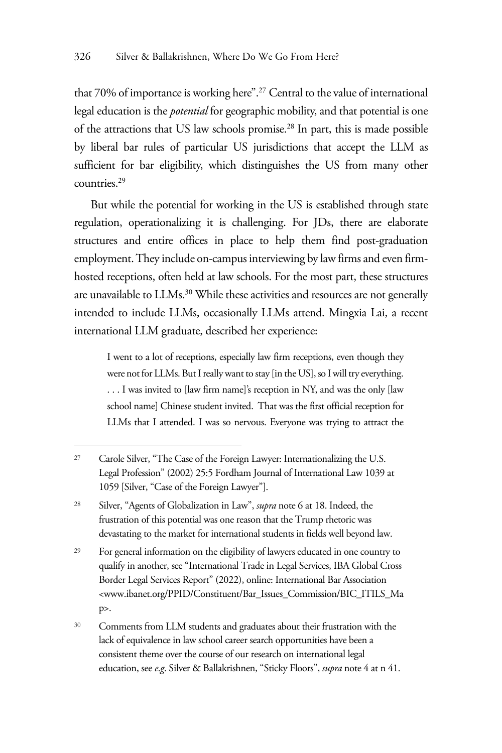that 70% of importance is working here".<sup>27</sup> Central to the value of international legal education is the *potential* for geographic mobility, and that potential is one of the attractions that US law schools promise.28 In part, this is made possible by liberal bar rules of particular US jurisdictions that accept the LLM as sufficient for bar eligibility, which distinguishes the US from many other countries.29

But while the potential for working in the US is established through state regulation, operationalizing it is challenging. For JDs, there are elaborate structures and entire offices in place to help them find post-graduation employment. They include on-campus interviewing by law firms and even firmhosted receptions, often held at law schools. For the most part, these structures are unavailable to LLMs.<sup>30</sup> While these activities and resources are not generally intended to include LLMs, occasionally LLMs attend. Mingxia Lai, a recent international LLM graduate, described her experience:

I went to a lot of receptions, especially law firm receptions, even though they were not for LLMs. But I really want to stay [in the US], so I will try everything. . . . I was invited to [law firm name]'s reception in NY, and was the only [law school name] Chinese student invited. That was the first official reception for LLMs that I attended. I was so nervous. Everyone was trying to attract the

<sup>29</sup> For general information on the eligibility of lawyers educated in one country to qualify in another, see "International Trade in Legal Services, IBA Global Cross Border Legal Services Report" (2022), online: International Bar Association <www.ibanet.org/PPID/Constituent/Bar\_Issues\_Commission/BIC\_ITILS\_Ma p>.

<sup>27</sup> Carole Silver, "The Case of the Foreign Lawyer: Internationalizing the U.S. Legal Profession" (2002) 25:5 Fordham Journal of International Law 1039 at 1059 [Silver, "Case of the Foreign Lawyer"].

<sup>28</sup> Silver, "Agents of Globalization in Law", *supra* note 6 at 18. Indeed, the frustration of this potential was one reason that the Trump rhetoric was devastating to the market for international students in fields well beyond law.

<sup>30</sup> Comments from LLM students and graduates about their frustration with the lack of equivalence in law school career search opportunities have been a consistent theme over the course of our research on international legal education, see *e*.*g*. Silver & Ballakrishnen, "Sticky Floors", *supra* note 4 at n 41.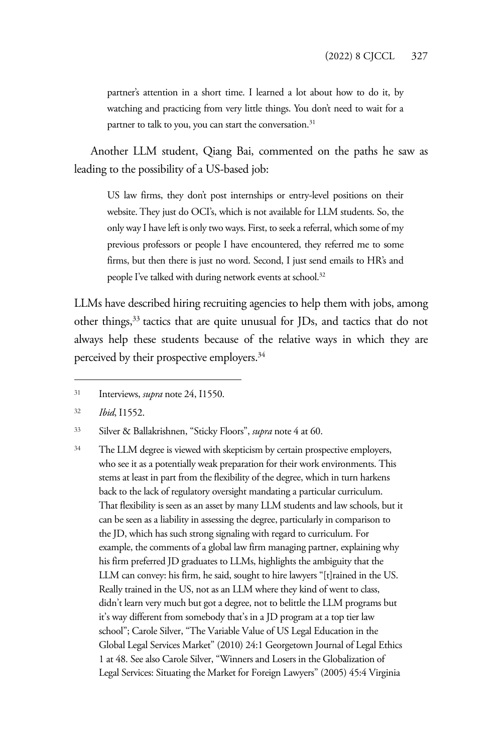partner's attention in a short time. I learned a lot about how to do it, by watching and practicing from very little things. You don't need to wait for a partner to talk to you, you can start the conversation.<sup>31</sup>

Another LLM student, Qiang Bai, commented on the paths he saw as leading to the possibility of a US-based job:

US law firms, they don't post internships or entry-level positions on their website. They just do OCI's, which is not available for LLM students. So, the only way I have left is only two ways. First, to seek a referral, which some of my previous professors or people I have encountered, they referred me to some firms, but then there is just no word. Second, I just send emails to HR's and people I've talked with during network events at school.<sup>32</sup>

LLMs have described hiring recruiting agencies to help them with jobs, among other things,<sup>33</sup> tactics that are quite unusual for JDs, and tactics that do not always help these students because of the relative ways in which they are perceived by their prospective employers.<sup>34</sup>

<sup>31</sup> Interviews, *supra* note 24, I1550.

<sup>32</sup> *Ibid*, I1552.

<sup>33</sup> Silver & Ballakrishnen, "Sticky Floors", *supra* note 4 at 60.

<sup>&</sup>lt;sup>34</sup> The LLM degree is viewed with skepticism by certain prospective employers, who see it as a potentially weak preparation for their work environments. This stems at least in part from the flexibility of the degree, which in turn harkens back to the lack of regulatory oversight mandating a particular curriculum. That flexibility is seen as an asset by many LLM students and law schools, but it can be seen as a liability in assessing the degree, particularly in comparison to the JD, which has such strong signaling with regard to curriculum. For example, the comments of a global law firm managing partner, explaining why his firm preferred JD graduates to LLMs, highlights the ambiguity that the LLM can convey: his firm, he said, sought to hire lawyers "[t]rained in the US. Really trained in the US, not as an LLM where they kind of went to class, didn't learn very much but got a degree, not to belittle the LLM programs but it's way different from somebody that's in a JD program at a top tier law school"; Carole Silver, "The Variable Value of US Legal Education in the Global Legal Services Market" (2010) 24:1 Georgetown Journal of Legal Ethics 1 at 48. See also Carole Silver, "Winners and Losers in the Globalization of Legal Services: Situating the Market for Foreign Lawyers" (2005) 45:4 Virginia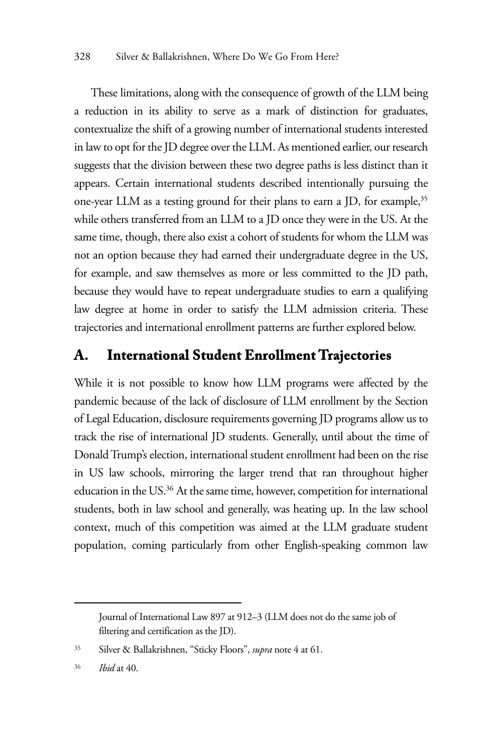These limitations, along with the consequence of growth of the LLM being a reduction in its ability to serve as a mark of distinction for graduates, contextualize the shift of a growing number of international students interested in law to opt for the JD degree over the LLM. As mentioned earlier, our research suggests that the division between these two degree paths is less distinct than it appears. Certain international students described intentionally pursuing the one-year LLM as a testing ground for their plans to earn a JD, for example,<sup>35</sup> while others transferred from an LLM to a JD once they were in the US. At the same time, though, there also exist a cohort of students for whom the LLM was not an option because they had earned their undergraduate degree in the US, for example, and saw themselves as more or less committed to the JD path, because they would have to repeat undergraduate studies to earn a qualifying law degree at home in order to satisfy the LLM admission criteria. These trajectories and international enrollment patterns are further explored below.

#### **A. International Student Enrollment Trajectories**

While it is not possible to know how LLM programs were affected by the pandemic because of the lack of disclosure of LLM enrollment by the Section of Legal Education, disclosure requirements governing JD programs allow us to track the rise of international JD students. Generally, until about the time of Donald Trump's election, international student enrollment had been on the rise in US law schools, mirroring the larger trend that ran throughout higher education in the US.36 At the same time, however, competition for international students, both in law school and generally, was heating up. In the law school context, much of this competition was aimed at the LLM graduate student population, coming particularly from other English-speaking common law

Journal of International Law 897 at 912–3 (LLM does not do the same job of filtering and certification as the JD).

<sup>35</sup> Silver & Ballakrishnen, "Sticky Floors", *supra* note 4 at 61.

<sup>36</sup> *Ibid* at 40.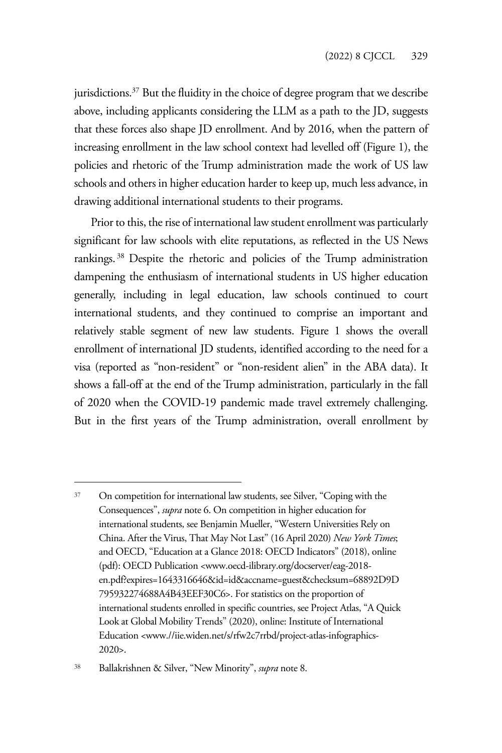jurisdictions.<sup>37</sup> But the fluidity in the choice of degree program that we describe above, including applicants considering the LLM as a path to the JD, suggests that these forces also shape JD enrollment. And by 2016, when the pattern of increasing enrollment in the law school context had levelled off (Figure 1), the policies and rhetoric of the Trump administration made the work of US law schools and others in higher education harder to keep up, much less advance, in drawing additional international students to their programs.

Prior to this, the rise of international law student enrollment was particularly significant for law schools with elite reputations, as reflected in the US News rankings. 38 Despite the rhetoric and policies of the Trump administration dampening the enthusiasm of international students in US higher education generally, including in legal education, law schools continued to court international students, and they continued to comprise an important and relatively stable segment of new law students. Figure 1 shows the overall enrollment of international JD students, identified according to the need for a visa (reported as "non-resident" or "non-resident alien" in the ABA data). It shows a fall-off at the end of the Trump administration, particularly in the fall of 2020 when the COVID-19 pandemic made travel extremely challenging. But in the first years of the Trump administration, overall enrollment by

<sup>37</sup> On competition for international law students, see Silver, "Coping with the Consequences", *supra* note 6. On competition in higher education for international students, see Benjamin Mueller, "Western Universities Rely on China. After the Virus, That May Not Last" (16 April 2020) *New York Times*; and OECD, "Education at a Glance 2018: OECD Indicators" (2018), online (pdf): OECD Publication <www.oecd-ilibrary.org/docserver/eag-2018 en.pdf?expires=1643316646&id=id&accname=guest&checksum=68892D9D 795932274688A4B43EEF30C6>. For statistics on the proportion of international students enrolled in specific countries, see Project Atlas, "A Quick Look at Global Mobility Trends" (2020), online: Institute of International Education <www.//iie.widen.net/s/rfw2c7rrbd/project-atlas-infographics-2020>.

<sup>38</sup> Ballakrishnen & Silver, "New Minority", *supra* note 8.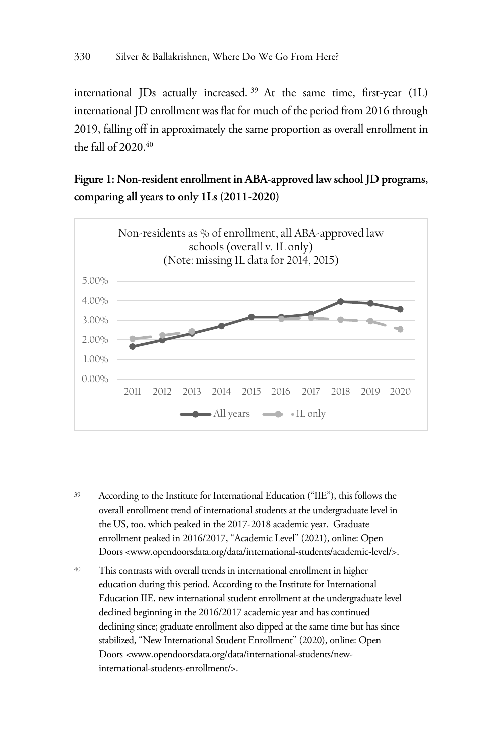international JDs actually increased. 39 At the same time, first-year (1L) international JD enrollment was flat for much of the period from 2016 through 2019, falling off in approximately the same proportion as overall enrollment in the fall of  $2020.40$ 

**Figure 1: Non-resident enrollment in ABA-approved law school JD programs, comparing all years to only 1Ls (2011-2020)** 



<sup>39</sup> According to the Institute for International Education ("IIE"), this follows the overall enrollment trend of international students at the undergraduate level in the US, too, which peaked in the 2017-2018 academic year. Graduate enrollment peaked in 2016/2017, "Academic Level" (2021), online: Open Doors <www.opendoorsdata.org/data/international-students/academic-level/>.

<sup>40</sup> This contrasts with overall trends in international enrollment in higher education during this period. According to the Institute for International Education IIE, new international student enrollment at the undergraduate level declined beginning in the 2016/2017 academic year and has continued declining since; graduate enrollment also dipped at the same time but has since stabilized, "New International Student Enrollment" (2020), online: Open Doors *<*www.opendoorsdata.org/data/international-students/newinternational-students-enrollment/>.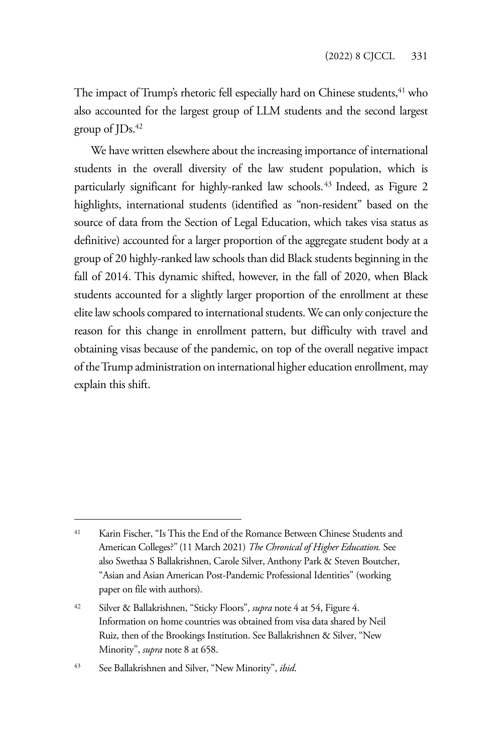The impact of Trump's rhetoric fell especially hard on Chinese students,  $41$  who also accounted for the largest group of LLM students and the second largest group of  $JDs$ .<sup>42</sup>

We have written elsewhere about the increasing importance of international students in the overall diversity of the law student population, which is particularly significant for highly-ranked law schools.<sup>43</sup> Indeed, as Figure 2 highlights, international students (identified as "non-resident" based on the source of data from the Section of Legal Education, which takes visa status as definitive) accounted for a larger proportion of the aggregate student body at a group of 20 highly-ranked law schools than did Black students beginning in the fall of 2014. This dynamic shifted, however, in the fall of 2020, when Black students accounted for a slightly larger proportion of the enrollment at these elite law schools compared to international students. We can only conjecture the reason for this change in enrollment pattern, but difficulty with travel and obtaining visas because of the pandemic, on top of the overall negative impact of the Trump administration on international higher education enrollment, may explain this shift.

<sup>41</sup> Karin Fischer, "Is This the End of the Romance Between Chinese Students and American Colleges?" (11 March 2021) *The Chronical of Higher Education.* See also Swethaa S Ballakrishnen, Carole Silver, Anthony Park & Steven Boutcher, "Asian and Asian American Post-Pandemic Professional Identities" (working paper on file with authors).

<sup>42</sup> Silver & Ballakrishnen, "Sticky Floors", *supra* note 4 at 54, Figure 4. Information on home countries was obtained from visa data shared by Neil Ruiz, then of the Brookings Institution. See Ballakrishnen & Silver, "New Minority", *supra* note 8 at 658.

<sup>43</sup> See Ballakrishnen and Silver, "New Minority", *ibid*.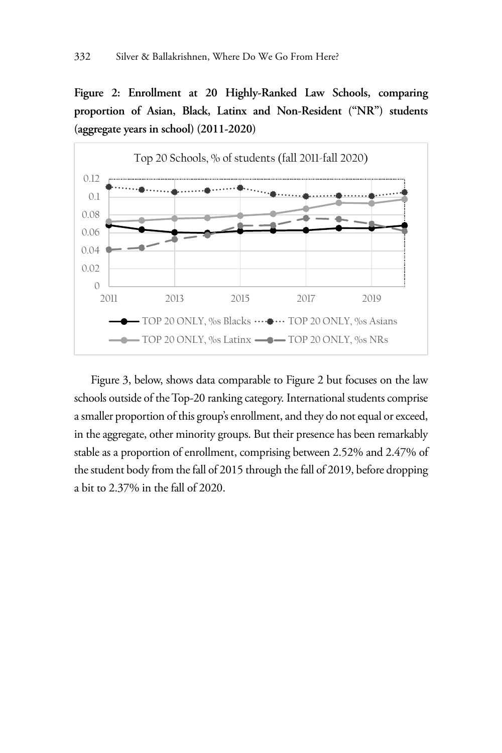**Figure 2: Enrollment at 20 Highly-Ranked Law Schools, comparing proportion of Asian, Black, Latinx and Non-Resident ("NR") students (aggregate years in school) (2011-2020)** 



Figure 3, below, shows data comparable to Figure 2 but focuses on the law schools outside of the Top-20 ranking category. International students comprise a smaller proportion of this group's enrollment, and they do not equal or exceed, in the aggregate, other minority groups. But their presence has been remarkably stable as a proportion of enrollment, comprising between 2.52% and 2.47% of the student body from the fall of 2015 through the fall of 2019, before dropping a bit to 2.37% in the fall of 2020.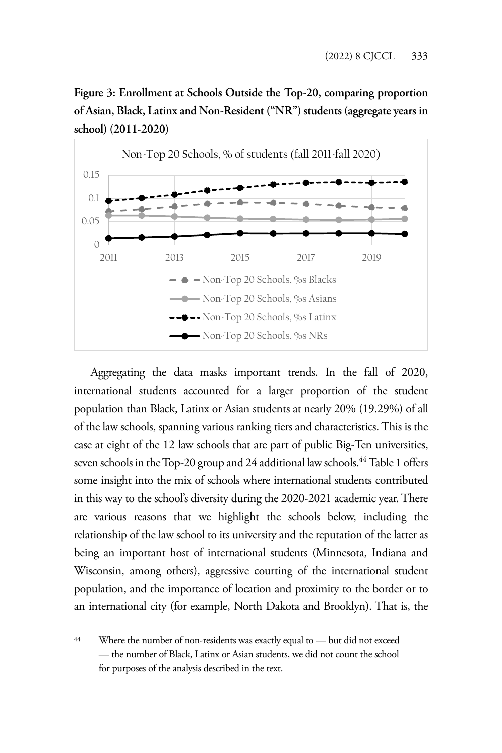**Figure 3: Enrollment at Schools Outside the Top-20, comparing proportion of Asian, Black, Latinx and Non-Resident ("NR") students (aggregate years in school) (2011-2020)**



Aggregating the data masks important trends. In the fall of 2020, international students accounted for a larger proportion of the student population than Black, Latinx or Asian students at nearly 20% (19.29%) of all of the law schools, spanning various ranking tiers and characteristics. This is the case at eight of the 12 law schools that are part of public Big-Ten universities, seven schools in the Top-20 group and 24 additional law schools.<sup>44</sup> Table 1 offers some insight into the mix of schools where international students contributed in this way to the school's diversity during the 2020-2021 academic year. There are various reasons that we highlight the schools below, including the relationship of the law school to its university and the reputation of the latter as being an important host of international students (Minnesota, Indiana and Wisconsin, among others), aggressive courting of the international student population, and the importance of location and proximity to the border or to an international city (for example, North Dakota and Brooklyn). That is, the

<sup>44</sup> Where the number of non-residents was exactly equal to — but did not exceed — the number of Black, Latinx or Asian students, we did not count the school for purposes of the analysis described in the text.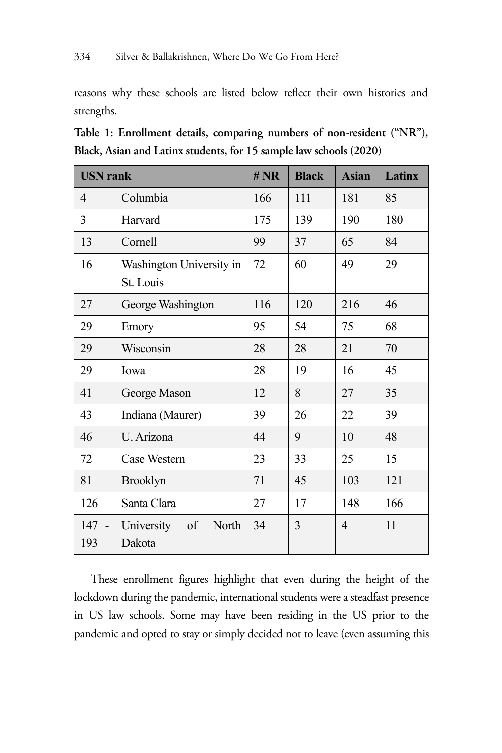reasons why these schools are listed below reflect their own histories and strengths.

**Table 1: Enrollment details, comparing numbers of non-resident ("NR"), Black, Asian and Latinx students, for 15 sample law schools (2020)** 

| <b>USN</b> rank |                                       | # NR | <b>Black</b> | <b>Asian</b> | <b>Latinx</b> |
|-----------------|---------------------------------------|------|--------------|--------------|---------------|
| 4               | Columbia                              | 166  | 111          | 181          | 85            |
| 3               | Harvard                               | 175  | 139          | 190          | 180           |
| 13              | Cornell                               | 99   | 37           | 65           | 84            |
| 16              | Washington University in<br>St. Louis | 72   | 60           | 49           | 29            |
| 27              | George Washington                     | 116  | 120          | 216          | 46            |
| 29              | Emory                                 | 95   | 54           | 75           | 68            |
| 29              | Wisconsin                             | 28   | 28           | 21           | 70            |
| 29              | Iowa                                  | 28   | 19           | 16           | 45            |
| 41              | George Mason                          | 12   | 8            | 27           | 35            |
| 43              | Indiana (Maurer)                      | 39   | 26           | 22           | 39            |
| 46              | U. Arizona                            | 44   | 9            | 10           | 48            |
| 72              | Case Western                          | 23   | 33           | 25           | 15            |
| 81              | <b>Brooklyn</b>                       | 71   | 45           | 103          | 121           |
| 126             | Santa Clara                           | 27   | 17           | 148          | 166           |
| 147<br>193      | University<br>of<br>North<br>Dakota   | 34   | 3            | 4            | 11            |

These enrollment figures highlight that even during the height of the lockdown during the pandemic, international students were a steadfast presence in US law schools. Some may have been residing in the US prior to the pandemic and opted to stay or simply decided not to leave (even assuming this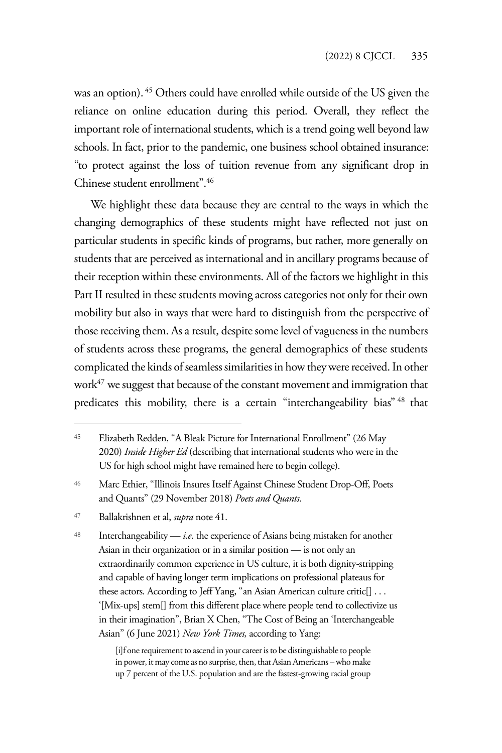was an option). 45 Others could have enrolled while outside of the US given the reliance on online education during this period. Overall, they reflect the important role of international students, which is a trend going well beyond law schools. In fact, prior to the pandemic, one business school obtained insurance: "to protect against the loss of tuition revenue from any significant drop in Chinese student enrollment".46

We highlight these data because they are central to the ways in which the changing demographics of these students might have reflected not just on particular students in specific kinds of programs, but rather, more generally on students that are perceived as international and in ancillary programs because of their reception within these environments. All of the factors we highlight in this Part II resulted in these students moving across categories not only for their own mobility but also in ways that were hard to distinguish from the perspective of those receiving them. As a result, despite some level of vagueness in the numbers of students across these programs, the general demographics of these students complicated the kinds of seamless similarities in how they were received. In other work<sup>47</sup> we suggest that because of the constant movement and immigration that predicates this mobility, there is a certain "interchangeability bias" <sup>48</sup> that

[i]f one requirement to ascend in your career is to be distinguishable to people in power, it may come as no surprise, then, that Asian Americans – who make up 7 percent of the U.S. population and are the fastest-growing racial group

<sup>45</sup> Elizabeth Redden, "A Bleak Picture for International Enrollment" (26 May 2020) *Inside Higher Ed* (describing that international students who were in the US for high school might have remained here to begin college).

<sup>46</sup> Marc Ethier, "Illinois Insures Itself Against Chinese Student Drop-Off, Poets and Quants" (29 November 2018) *Poets and Quants*.

<sup>47</sup> Ballakrishnen et al, *supra* note 41.

 $48$  Interchangeability — *i.e.* the experience of Asians being mistaken for another Asian in their organization or in a similar position — is not only an extraordinarily common experience in US culture, it is both dignity-stripping and capable of having longer term implications on professional plateaus for these actors. According to Jeff Yang, "an Asian American culture critic[] . . . '[Mix-ups] stem[] from this different place where people tend to collectivize us in their imagination", Brian X Chen, "The Cost of Being an 'Interchangeable Asian" (6 June 2021) *New York Times,* according to Yang: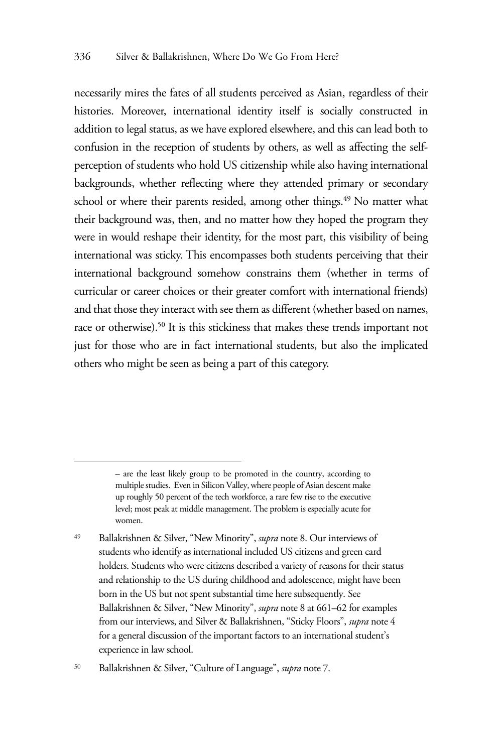necessarily mires the fates of all students perceived as Asian, regardless of their histories. Moreover, international identity itself is socially constructed in addition to legal status, as we have explored elsewhere, and this can lead both to confusion in the reception of students by others, as well as affecting the selfperception of students who hold US citizenship while also having international backgrounds, whether reflecting where they attended primary or secondary school or where their parents resided, among other things.<sup>49</sup> No matter what their background was, then, and no matter how they hoped the program they were in would reshape their identity, for the most part, this visibility of being international was sticky. This encompasses both students perceiving that their international background somehow constrains them (whether in terms of curricular or career choices or their greater comfort with international friends) and that those they interact with see them as different (whether based on names, race or otherwise).<sup>50</sup> It is this stickiness that makes these trends important not just for those who are in fact international students, but also the implicated others who might be seen as being a part of this category.

<sup>50</sup> Ballakrishnen & Silver, "Culture of Language", *supra* note 7.

<sup>–</sup> are the least likely group to be promoted in the country, according to multiple studies. Even in Silicon Valley, where people of Asian descent make up roughly 50 percent of the tech workforce, a rare few rise to the executive level; most peak at middle management. The problem is especially acute for women.

<sup>49</sup> Ballakrishnen & Silver, "New Minority", *supra* note 8. Our interviews of students who identify as international included US citizens and green card holders. Students who were citizens described a variety of reasons for their status and relationship to the US during childhood and adolescence, might have been born in the US but not spent substantial time here subsequently. See Ballakrishnen & Silver, "New Minority", *supra* note 8 at 661–62 for examples from our interviews, and Silver & Ballakrishnen, "Sticky Floors", *supra* note 4 for a general discussion of the important factors to an international student's experience in law school.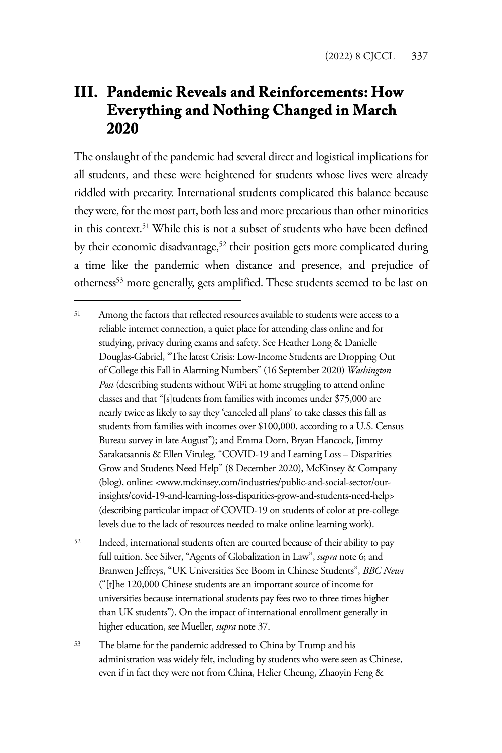# **III. Pandemic Reveals and Reinforcements: How Everything and Nothing Changed in March 2020**

The onslaught of the pandemic had several direct and logistical implications for all students, and these were heightened for students whose lives were already riddled with precarity. International students complicated this balance because they were, for the most part, both less and more precarious than other minorities in this context.<sup>51</sup> While this is not a subset of students who have been defined by their economic disadvantage,<sup>52</sup> their position gets more complicated during a time like the pandemic when distance and presence, and prejudice of otherness<sup>53</sup> more generally, gets amplified. These students seemed to be last on

<sup>53</sup> The blame for the pandemic addressed to China by Trump and his administration was widely felt, including by students who were seen as Chinese, even if in fact they were not from China, Helier Cheung, Zhaoyin Feng &

<sup>51</sup> Among the factors that reflected resources available to students were access to a reliable internet connection, a quiet place for attending class online and for studying, privacy during exams and safety. See Heather Long & Danielle Douglas-Gabriel, "The latest Crisis: Low-Income Students are Dropping Out of College this Fall in Alarming Numbers" (16 September 2020) *Washington Post* (describing students without WiFi at home struggling to attend online classes and that "[s]tudents from families with incomes under \$75,000 are nearly twice as likely to say they 'canceled all plans' to take classes this fall as students from families with incomes over \$100,000, according to a U.S. Census Bureau survey in late August"); and Emma Dorn, Bryan Hancock, Jimmy Sarakatsannis & Ellen Viruleg, "COVID-19 and Learning Loss – Disparities Grow and Students Need Help" (8 December 2020), McKinsey & Company (blog), online: <www.mckinsey.com/industries/public-and-social-sector/ourinsights/covid-19-and-learning-loss-disparities-grow-and-students-need-help> (describing particular impact of COVID-19 on students of color at pre-college levels due to the lack of resources needed to make online learning work).

<sup>52</sup> Indeed, international students often are courted because of their ability to pay full tuition. See Silver, "Agents of Globalization in Law", *supra* note 6; and Branwen Jeffreys, "UK Universities See Boom in Chinese Students", *BBC News* ("[t]he 120,000 Chinese students are an important source of income for universities because international students pay fees two to three times higher than UK students"). On the impact of international enrollment generally in higher education, see Mueller, *supra* note 37.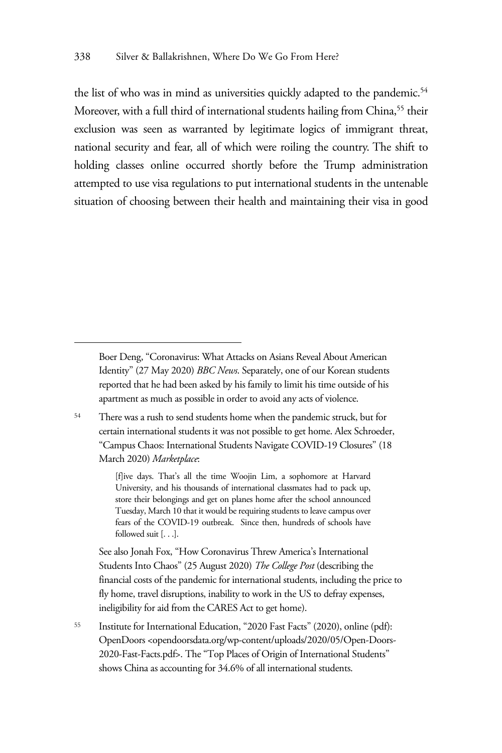the list of who was in mind as universities quickly adapted to the pandemic.<sup>54</sup> Moreover, with a full third of international students hailing from China,<sup>55</sup> their exclusion was seen as warranted by legitimate logics of immigrant threat, national security and fear, all of which were roiling the country. The shift to holding classes online occurred shortly before the Trump administration attempted to use visa regulations to put international students in the untenable situation of choosing between their health and maintaining their visa in good

<sup>54</sup> There was a rush to send students home when the pandemic struck, but for certain international students it was not possible to get home. Alex Schroeder, "Campus Chaos: International Students Navigate COVID-19 Closures" (18 March 2020) *Marketplace*:

> [f]ive days. That's all the time Woojin Lim, a sophomore at Harvard University, and his thousands of international classmates had to pack up, store their belongings and get on planes home after the school announced Tuesday, March 10 that it would be requiring students to leave campus over fears of the COVID-19 outbreak. Since then, hundreds of schools have followed suit [. . .].

See also Jonah Fox, "How Coronavirus Threw America's International Students Into Chaos" (25 August 2020) *The College Post* (describing the financial costs of the pandemic for international students, including the price to fly home, travel disruptions, inability to work in the US to defray expenses, ineligibility for aid from the CARES Act to get home).

<sup>55</sup> Institute for International Education, "2020 Fast Facts" (2020), online (pdf): OpenDoors <opendoorsdata.org/wp-content/uploads/2020/05/Open-Doors-2020-Fast-Facts.pdf>. The "Top Places of Origin of International Students" shows China as accounting for 34.6% of all international students.

Boer Deng, "Coronavirus: What Attacks on Asians Reveal About American Identity" (27 May 2020) *BBC News*. Separately, one of our Korean students reported that he had been asked by his family to limit his time outside of his apartment as much as possible in order to avoid any acts of violence.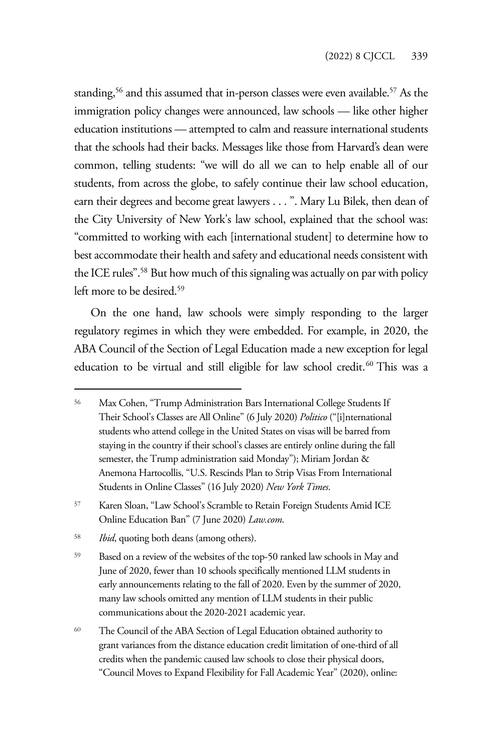standing,<sup>56</sup> and this assumed that in-person classes were even available.<sup>57</sup> As the immigration policy changes were announced, law schools — like other higher education institutions — attempted to calm and reassure international students that the schools had their backs. Messages like those from Harvard's dean were common, telling students: "we will do all we can to help enable all of our students, from across the globe, to safely continue their law school education, earn their degrees and become great lawyers . . . ". Mary Lu Bilek, then dean of the City University of New York's law school, explained that the school was: "committed to working with each [international student] to determine how to best accommodate their health and safety and educational needs consistent with the ICE rules".<sup>58</sup> But how much of this signaling was actually on par with policy left more to be desired.59

On the one hand, law schools were simply responding to the larger regulatory regimes in which they were embedded. For example, in 2020, the ABA Council of the Section of Legal Education made a new exception for legal education to be virtual and still eligible for law school credit.<sup>60</sup> This was a

<sup>56</sup> Max Cohen, "Trump Administration Bars International College Students If Their School's Classes are All Online" (6 July 2020) *Politico* ("[i]nternational students who attend college in the United States on visas will be barred from staying in the country if their school's classes are entirely online during the fall semester, the Trump administration said Monday"); Miriam Jordan & Anemona Hartocollis, "U.S. Rescinds Plan to Strip Visas From International Students in Online Classes" (16 July 2020) *New York Times*.

<sup>57</sup> Karen Sloan, "Law School's Scramble to Retain Foreign Students Amid ICE Online Education Ban" (7 June 2020) *Law.com*.

<sup>58</sup> *Ibid*, quoting both deans (among others).

<sup>59</sup> Based on a review of the websites of the top-50 ranked law schools in May and June of 2020, fewer than 10 schools specifically mentioned LLM students in early announcements relating to the fall of 2020. Even by the summer of 2020, many law schools omitted any mention of LLM students in their public communications about the 2020-2021 academic year.

<sup>60</sup> The Council of the ABA Section of Legal Education obtained authority to grant variances from the distance education credit limitation of one-third of all credits when the pandemic caused law schools to close their physical doors, "Council Moves to Expand Flexibility for Fall Academic Year" (2020), online: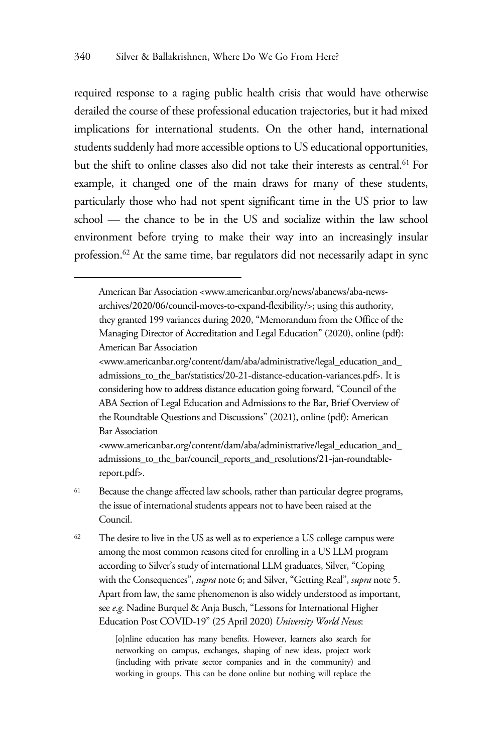required response to a raging public health crisis that would have otherwise derailed the course of these professional education trajectories, but it had mixed implications for international students. On the other hand, international students suddenly had more accessible options to US educational opportunities, but the shift to online classes also did not take their interests as central.<sup>61</sup> For example, it changed one of the main draws for many of these students, particularly those who had not spent significant time in the US prior to law school — the chance to be in the US and socialize within the law school environment before trying to make their way into an increasingly insular profession.62 At the same time, bar regulators did not necessarily adapt in sync

<www.americanbar.org/content/dam/aba/administrative/legal\_education\_and\_ admissions\_to\_the\_bar/council\_reports\_and\_resolutions/21-jan-roundtablereport.pdf>.

<sup>61</sup> Because the change affected law schools, rather than particular degree programs, the issue of international students appears not to have been raised at the Council.

<sup>62</sup> The desire to live in the US as well as to experience a US college campus were among the most common reasons cited for enrolling in a US LLM program according to Silver's study of international LLM graduates, Silver, "Coping with the Consequences", *supra* note 6; and Silver, "Getting Real", *supra* note 5. Apart from law, the same phenomenon is also widely understood as important, see *e*.*g*. Nadine Burquel & Anja Busch, "Lessons for International Higher Education Post COVID-19" (25 April 2020) *University World News*:

> [o]nline education has many benefits. However, learners also search for networking on campus, exchanges, shaping of new ideas, project work (including with private sector companies and in the community) and working in groups. This can be done online but nothing will replace the

American Bar Association <www.americanbar.org/news/abanews/aba-newsarchives/2020/06/council-moves-to-expand-flexibility/>; using this authority, they granted 199 variances during 2020, "Memorandum from the Office of the Managing Director of Accreditation and Legal Education" (2020), online (pdf): American Bar Association

<sup>&</sup>lt;www.americanbar.org/content/dam/aba/administrative/legal\_education\_and\_ admissions\_to\_the\_bar/statistics/20-21-distance-education-variances.pdf>. It is considering how to address distance education going forward, "Council of the ABA Section of Legal Education and Admissions to the Bar, Brief Overview of the Roundtable Questions and Discussions" (2021), online (pdf): American Bar Association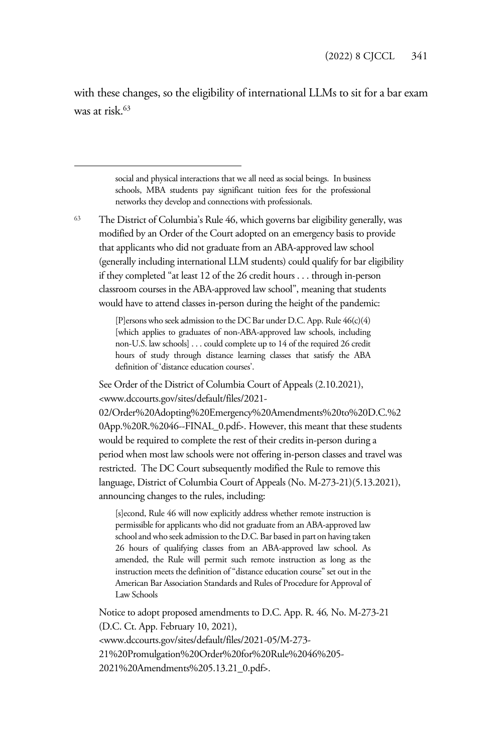with these changes, so the eligibility of international LLMs to sit for a bar exam was at risk.63

> social and physical interactions that we all need as social beings. In business schools, MBA students pay significant tuition fees for the professional networks they develop and connections with professionals.

<sup>63</sup> The District of Columbia's Rule 46, which governs bar eligibility generally, was modified by an Order of the Court adopted on an emergency basis to provide that applicants who did not graduate from an ABA-approved law school (generally including international LLM students) could qualify for bar eligibility if they completed "at least 12 of the 26 credit hours . . . through in-person classroom courses in the ABA-approved law school", meaning that students would have to attend classes in-person during the height of the pandemic:

> [P]ersons who seek admission to the DC Bar under D.C. App. Rule 46(c)(4) [which applies to graduates of non-ABA-approved law schools, including non-U.S. law schools] . . . could complete up to 14 of the required 26 credit hours of study through distance learning classes that satisfy the ABA definition of 'distance education courses'.

See Order of the District of Columbia Court of Appeals (2.10.2021), <www.dccourts.gov/sites/default/files/2021-

02/Order%20Adopting%20Emergency%20Amendments%20to%20D.C.%2 0App.%20R.%2046--FINAL\_0.pdf>. However, this meant that these students would be required to complete the rest of their credits in-person during a period when most law schools were not offering in-person classes and travel was restricted. The DC Court subsequently modified the Rule to remove this language, District of Columbia Court of Appeals (No. M-273-21)(5.13.2021), announcing changes to the rules, including:

[s]econd, Rule 46 will now explicitly address whether remote instruction is permissible for applicants who did not graduate from an ABA-approved law school and who seek admission to the D.C. Bar based in part on having taken 26 hours of qualifying classes from an ABA-approved law school. As amended, the Rule will permit such remote instruction as long as the instruction meets the definition of "distance education course" set out in the American Bar Association Standards and Rules of Procedure for Approval of Law Schools

Notice to adopt proposed amendments to D.C. App. R. 46*,* No. M-273-21 (D.C. Ct. App. February 10, 2021), <www.dccourts.gov/sites/default/files/2021-05/M-273- 21%20Promulgation%20Order%20for%20Rule%2046%205- 2021%20Amendments%205.13.21\_0.pdf>.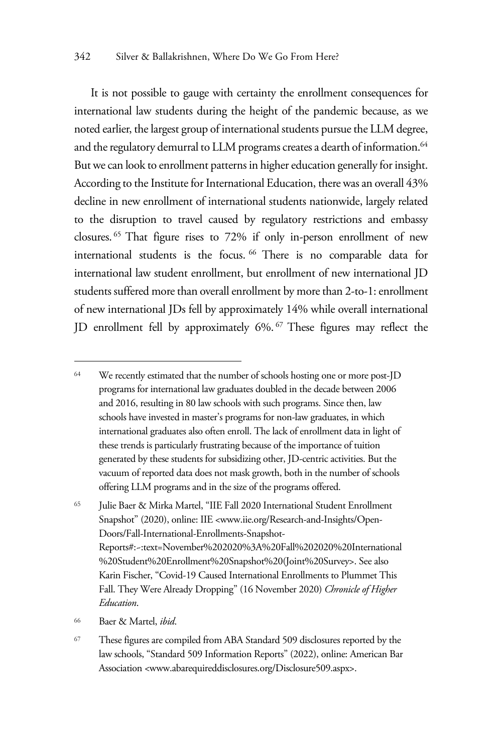It is not possible to gauge with certainty the enrollment consequences for international law students during the height of the pandemic because, as we noted earlier, the largest group of international students pursue the LLM degree, and the regulatory demurral to LLM programs creates a dearth of information.<sup>64</sup> But we can look to enrollment patterns in higher education generally for insight. According to the Institute for International Education, there was an overall 43% decline in new enrollment of international students nationwide, largely related to the disruption to travel caused by regulatory restrictions and embassy closures. 65 That figure rises to 72% if only in-person enrollment of new international students is the focus. 66 There is no comparable data for international law student enrollment, but enrollment of new international JD students suffered more than overall enrollment by more than 2-to-1: enrollment of new international JDs fell by approximately 14% while overall international JD enrollment fell by approximately 6%. 67 These figures may reflect the

<sup>&</sup>lt;sup>64</sup> We recently estimated that the number of schools hosting one or more post-JD programs for international law graduates doubled in the decade between 2006 and 2016, resulting in 80 law schools with such programs. Since then, law schools have invested in master's programs for non-law graduates, in which international graduates also often enroll. The lack of enrollment data in light of these trends is particularly frustrating because of the importance of tuition generated by these students for subsidizing other, JD-centric activities. But the vacuum of reported data does not mask growth, both in the number of schools offering LLM programs and in the size of the programs offered.

<sup>65</sup> Julie Baer & Mirka Martel, "IIE Fall 2020 International Student Enrollment Snapshot" (2020), online: IIE <www.iie.org/Research-and-Insights/Open-Doors/Fall-International-Enrollments-Snapshot-Reports#:~:text=November%202020%3A%20Fall%202020%20International %20Student%20Enrollment%20Snapshot%20(Joint%20Survey>. See also Karin Fischer, "Covid-19 Caused International Enrollments to Plummet This Fall. They Were Already Dropping" (16 November 2020) *Chronicle of Higher Education*.

<sup>66</sup> Baer & Martel, *ibid*.

<sup>67</sup> These figures are compiled from ABA Standard 509 disclosures reported by the law schools, "Standard 509 Information Reports" (2022), online: American Bar Association <www.abarequireddisclosures.org/Disclosure509.aspx>.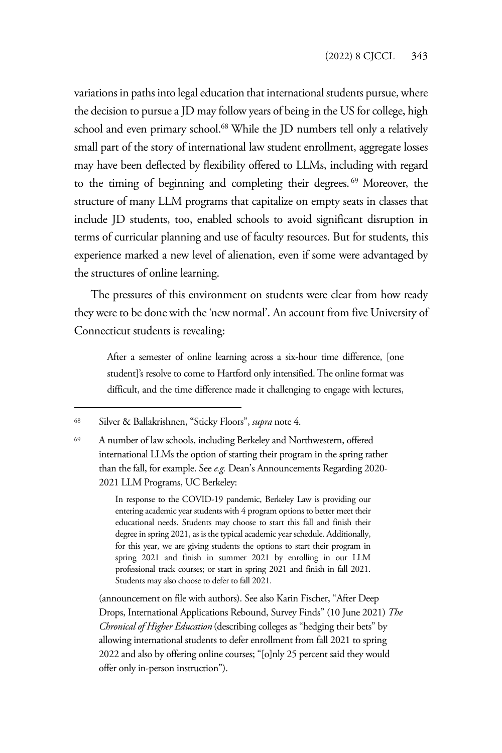variations in paths into legal education that international students pursue, where the decision to pursue a JD may follow years of being in the US for college, high school and even primary school.<sup>68</sup> While the JD numbers tell only a relatively small part of the story of international law student enrollment, aggregate losses may have been deflected by flexibility offered to LLMs, including with regard to the timing of beginning and completing their degrees. 69 Moreover, the structure of many LLM programs that capitalize on empty seats in classes that include JD students, too, enabled schools to avoid significant disruption in terms of curricular planning and use of faculty resources. But for students, this experience marked a new level of alienation, even if some were advantaged by the structures of online learning.

The pressures of this environment on students were clear from how ready they were to be done with the 'new normal'. An account from five University of Connecticut students is revealing:

After a semester of online learning across a six-hour time difference, [one student]'s resolve to come to Hartford only intensified. The online format was difficult, and the time difference made it challenging to engage with lectures,

<sup>68</sup> Silver & Ballakrishnen, "Sticky Floors", *supra* note 4.

<sup>69</sup> A number of law schools, including Berkeley and Northwestern, offered international LLMs the option of starting their program in the spring rather than the fall, for example. See *e.g.* Dean's Announcements Regarding 2020- 2021 LLM Programs, UC Berkeley:

> In response to the COVID-19 pandemic, Berkeley Law is providing our entering academic year students with 4 program options to better meet their educational needs. Students may choose to start this fall and finish their degree in spring 2021, as is the typical academic year schedule. Additionally, for this year, we are giving students the options to start their program in spring 2021 and finish in summer 2021 by enrolling in our LLM professional track courses; or start in spring 2021 and finish in fall 2021. Students may also choose to defer to fall 2021.

(announcement on file with authors). See also Karin Fischer, "After Deep Drops, International Applications Rebound, Survey Finds" (10 June 2021) *The Chronical of Higher Education* (describing colleges as "hedging their bets" by allowing international students to defer enrollment from fall 2021 to spring 2022 and also by offering online courses; "[o]nly 25 percent said they would offer only in-person instruction").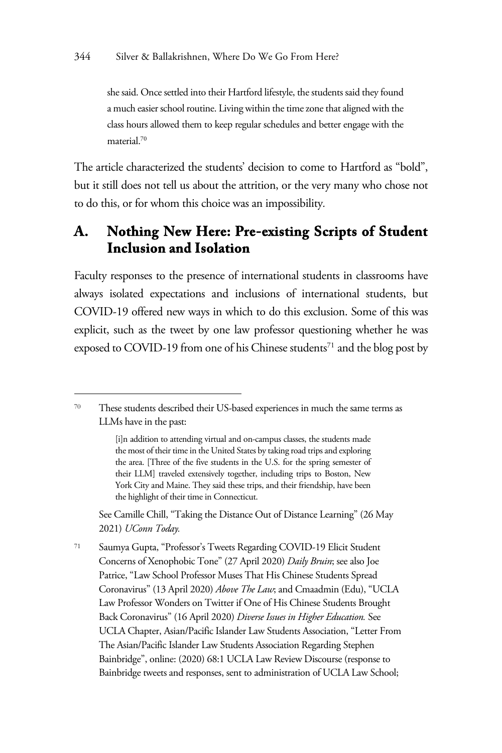she said. Once settled into their Hartford lifestyle, the students said they found a much easier school routine. Living within the time zone that aligned with the class hours allowed them to keep regular schedules and better engage with the material.70

The article characterized the students' decision to come to Hartford as "bold", but it still does not tell us about the attrition, or the very many who chose not to do this, or for whom this choice was an impossibility*.*

#### **A. Nothing New Here: Pre-existing Scripts of Student Inclusion and Isolation**

Faculty responses to the presence of international students in classrooms have always isolated expectations and inclusions of international students, but COVID-19 offered new ways in which to do this exclusion. Some of this was explicit, such as the tweet by one law professor questioning whether he was exposed to COVID-19 from one of his Chinese students<sup>71</sup> and the blog post by

See Camille Chill, "Taking the Distance Out of Distance Learning" (26 May 2021) *UConn Today.*

<sup>71</sup> Saumya Gupta, "Professor's Tweets Regarding COVID-19 Elicit Student Concerns of Xenophobic Tone" (27 April 2020) *Daily Bruin*; see also Joe Patrice, "Law School Professor Muses That His Chinese Students Spread Coronavirus" (13 April 2020) *Above The Law*; and Cmaadmin (Edu), "UCLA Law Professor Wonders on Twitter if One of His Chinese Students Brought Back Coronavirus" (16 April 2020) *Diverse Issues in Higher Education.* See UCLA Chapter, Asian/Pacific Islander Law Students Association, "Letter From The Asian/Pacific Islander Law Students Association Regarding Stephen Bainbridge", online: (2020) 68:1 UCLA Law Review Discourse (response to Bainbridge tweets and responses, sent to administration of UCLA Law School;

<sup>70</sup> These students described their US-based experiences in much the same terms as LLMs have in the past:

<sup>[</sup>i]n addition to attending virtual and on-campus classes, the students made the most of their time in the United States by taking road trips and exploring the area. [Three of the five students in the U.S. for the spring semester of their LLM] traveled extensively together, including trips to Boston, New York City and Maine. They said these trips, and their friendship, have been the highlight of their time in Connecticut.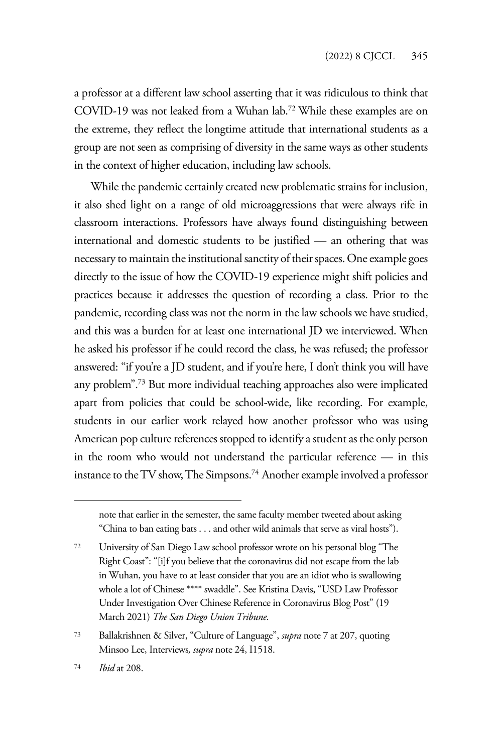a professor at a different law school asserting that it was ridiculous to think that COVID-19 was not leaked from a Wuhan lab.72 While these examples are on the extreme, they reflect the longtime attitude that international students as a group are not seen as comprising of diversity in the same ways as other students in the context of higher education, including law schools.

While the pandemic certainly created new problematic strains for inclusion, it also shed light on a range of old microaggressions that were always rife in classroom interactions. Professors have always found distinguishing between international and domestic students to be justified — an othering that was necessary to maintain the institutional sanctity of their spaces. One example goes directly to the issue of how the COVID-19 experience might shift policies and practices because it addresses the question of recording a class. Prior to the pandemic, recording class was not the norm in the law schools we have studied, and this was a burden for at least one international JD we interviewed. When he asked his professor if he could record the class, he was refused; the professor answered: "if you're a JD student, and if you're here, I don't think you will have any problem".73 But more individual teaching approaches also were implicated apart from policies that could be school-wide, like recording. For example, students in our earlier work relayed how another professor who was using American pop culture references stopped to identify a student as the only person in the room who would not understand the particular reference — in this instance to the TV show, The Simpsons.74 Another example involved a professor

note that earlier in the semester, the same faculty member tweeted about asking "China to ban eating bats . . . and other wild animals that serve as viral hosts").

<sup>72</sup> University of San Diego Law school professor wrote on his personal blog "The Right Coast": "[i]f you believe that the coronavirus did not escape from the lab in Wuhan, you have to at least consider that you are an idiot who is swallowing whole a lot of Chinese \*\*\*\* swaddle". See Kristina Davis, "USD Law Professor Under Investigation Over Chinese Reference in Coronavirus Blog Post" (19 March 2021) *The San Diego Union Tribune*.

<sup>73</sup> Ballakrishnen & Silver, "Culture of Language", *supra* note 7 at 207, quoting Minsoo Lee, Interviews*, supra* note 24, I1518.

<sup>74</sup> *Ibid* at 208.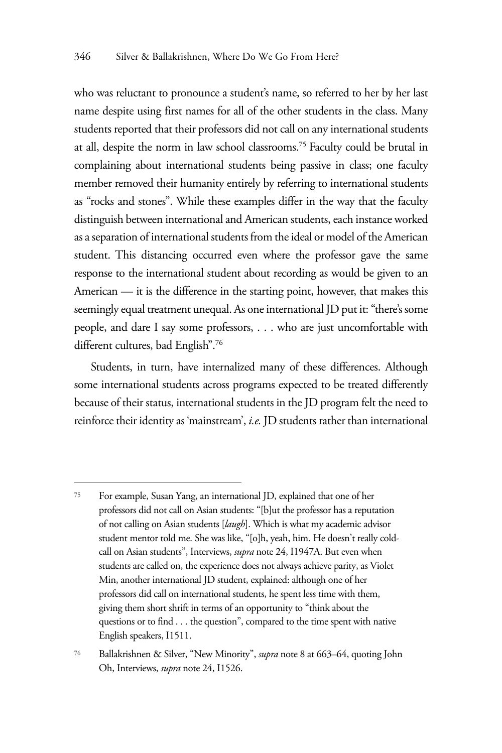who was reluctant to pronounce a student's name, so referred to her by her last name despite using first names for all of the other students in the class. Many students reported that their professors did not call on any international students at all, despite the norm in law school classrooms.75 Faculty could be brutal in complaining about international students being passive in class; one faculty member removed their humanity entirely by referring to international students as "rocks and stones". While these examples differ in the way that the faculty distinguish between international and American students, each instance worked as a separation of international students from the ideal or model of the American student. This distancing occurred even where the professor gave the same response to the international student about recording as would be given to an American — it is the difference in the starting point, however, that makes this seemingly equal treatment unequal. As one international JD put it: "there's some people, and dare I say some professors, . . . who are just uncomfortable with different cultures, bad English".76

Students, in turn, have internalized many of these differences. Although some international students across programs expected to be treated differently because of their status, international students in the JD program felt the need to reinforce their identity as 'mainstream', *i.e.* JD students rather than international

<sup>75</sup> For example, Susan Yang, an international JD, explained that one of her professors did not call on Asian students: "[b]ut the professor has a reputation of not calling on Asian students [*laugh*]. Which is what my academic advisor student mentor told me. She was like, "[o]h, yeah, him. He doesn't really coldcall on Asian students", Interviews, *supra* note 24, I1947A. But even when students are called on, the experience does not always achieve parity, as Violet Min, another international JD student, explained: although one of her professors did call on international students, he spent less time with them, giving them short shrift in terms of an opportunity to "think about the questions or to find . . . the question", compared to the time spent with native English speakers, I1511.

<sup>76</sup> Ballakrishnen & Silver, "New Minority", *supra* note 8 at 663–64, quoting John Oh, Interviews, *supra* note 24, I1526.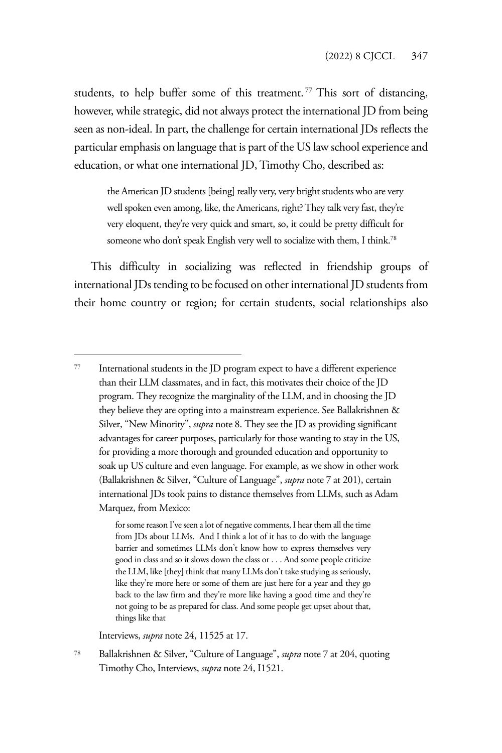students, to help buffer some of this treatment.<sup>77</sup> This sort of distancing, however, while strategic, did not always protect the international JD from being seen as non-ideal. In part, the challenge for certain international JDs reflects the particular emphasis on language that is part of the US law school experience and education, or what one international JD, Timothy Cho, described as:

the American JD students [being] really very, very bright students who are very well spoken even among, like, the Americans, right? They talk very fast, they're very eloquent, they're very quick and smart, so, it could be pretty difficult for someone who don't speak English very well to socialize with them, I think.<sup>78</sup>

This difficulty in socializing was reflected in friendship groups of international JDs tending to be focused on other international JD students from their home country or region; for certain students, social relationships also

Interviews, *supra* note 24, 11525 at 17.

<sup>77</sup> International students in the JD program expect to have a different experience than their LLM classmates, and in fact, this motivates their choice of the JD program. They recognize the marginality of the LLM, and in choosing the JD they believe they are opting into a mainstream experience. See Ballakrishnen & Silver, "New Minority", *supra* note 8. They see the JD as providing significant advantages for career purposes, particularly for those wanting to stay in the US, for providing a more thorough and grounded education and opportunity to soak up US culture and even language. For example, as we show in other work (Ballakrishnen & Silver, "Culture of Language", *supra* note 7 at 201), certain international JDs took pains to distance themselves from LLMs, such as Adam Marquez, from Mexico:

for some reason I've seen a lot of negative comments, I hear them all the time from JDs about LLMs. And I think a lot of it has to do with the language barrier and sometimes LLMs don't know how to express themselves very good in class and so it slows down the class or . . . And some people criticize the LLM, like [they] think that many LLMs don't take studying as seriously, like they're more here or some of them are just here for a year and they go back to the law firm and they're more like having a good time and they're not going to be as prepared for class. And some people get upset about that, things like that

<sup>78</sup> Ballakrishnen & Silver, "Culture of Language", *supra* note 7 at 204, quoting Timothy Cho, Interviews, *supra* note 24, I1521.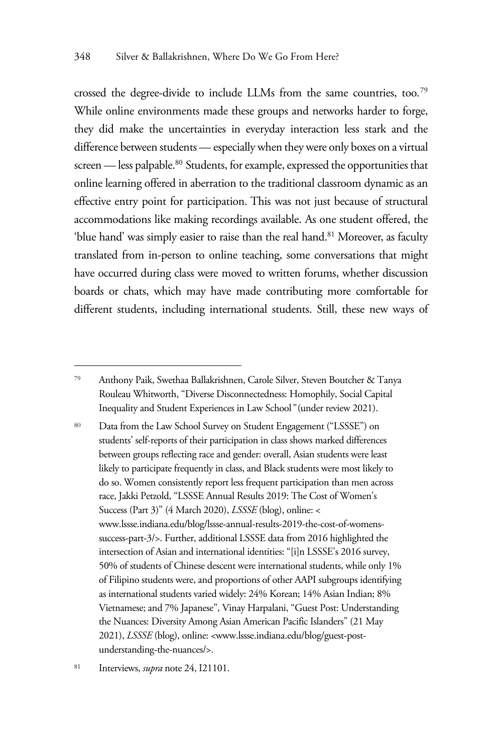crossed the degree-divide to include LLMs from the same countries, too.79 While online environments made these groups and networks harder to forge, they did make the uncertainties in everyday interaction less stark and the difference between students — especially when they were only boxes on a virtual screen — less palpable.<sup>80</sup> Students, for example, expressed the opportunities that online learning offered in aberration to the traditional classroom dynamic as an effective entry point for participation. This was not just because of structural accommodations like making recordings available. As one student offered, the 'blue hand' was simply easier to raise than the real hand.<sup>81</sup> Moreover, as faculty translated from in-person to online teaching, some conversations that might have occurred during class were moved to written forums, whether discussion boards or chats, which may have made contributing more comfortable for different students, including international students. Still, these new ways of

<sup>80</sup> Data from the Law School Survey on Student Engagement ("LSSSE") on students' self-reports of their participation in class shows marked differences between groups reflecting race and gender: overall, Asian students were least likely to participate frequently in class, and Black students were most likely to do so. Women consistently report less frequent participation than men across race, Jakki Petzold, "LSSSE Annual Results 2019: The Cost of Women's Success (Part 3)" (4 March 2020), *LSSSE* (blog), online: < www.lssse.indiana.edu/blog/lssse-annual-results-2019-the-cost-of-womenssuccess-part-3/>. Further, additional LSSSE data from 2016 highlighted the intersection of Asian and international identities: "[i]n LSSSE's 2016 survey, 50% of students of Chinese descent were international students, while only 1% of Filipino students were, and proportions of other AAPI subgroups identifying as international students varied widely: 24% Korean; 14% Asian Indian; 8% Vietnamese; and 7% Japanese", Vinay Harpalani, "Guest Post: Understanding the Nuances: Diversity Among Asian American Pacific Islanders" (21 May 2021), *LSSSE* (blog), online: <www.lssse.indiana.edu/blog/guest-postunderstanding-the-nuances/>.

<sup>79</sup> Anthony Paik, Swethaa Ballakrishnen, Carole Silver, Steven Boutcher & Tanya Rouleau Whitworth, "Diverse Disconnectedness: Homophily, Social Capital Inequality and Student Experiences in Law School*"* (under review 2021).

<sup>81</sup> Interviews, *supra* note 24, I21101.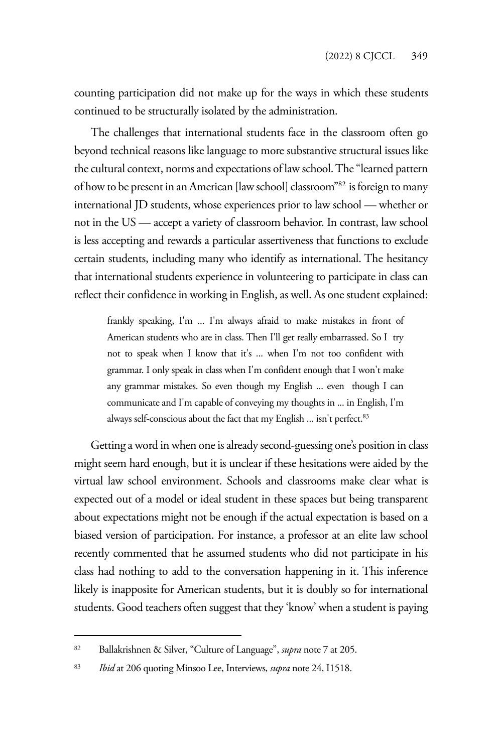counting participation did not make up for the ways in which these students continued to be structurally isolated by the administration.

The challenges that international students face in the classroom often go beyond technical reasons like language to more substantive structural issues like the cultural context, norms and expectations of law school. The "learned pattern of how to be present in an American [law school] classroom"82 is foreign to many international JD students, whose experiences prior to law school — whether or not in the US — accept a variety of classroom behavior. In contrast, law school is less accepting and rewards a particular assertiveness that functions to exclude certain students, including many who identify as international. The hesitancy that international students experience in volunteering to participate in class can reflect their confidence in working in English, as well. As one student explained:

frankly speaking, I'm ... I'm always afraid to make mistakes in front of American students who are in class. Then I'll get really embarrassed. So I try not to speak when I know that it's ... when I'm not too confident with grammar. I only speak in class when I'm confident enough that I won't make any grammar mistakes. So even though my English ... even though I can communicate and I'm capable of conveying my thoughts in ... in English, I'm always self-conscious about the fact that my English ... isn't perfect.<sup>83</sup>

Getting a word in when one is already second-guessing one's position in class might seem hard enough, but it is unclear if these hesitations were aided by the virtual law school environment. Schools and classrooms make clear what is expected out of a model or ideal student in these spaces but being transparent about expectations might not be enough if the actual expectation is based on a biased version of participation. For instance, a professor at an elite law school recently commented that he assumed students who did not participate in his class had nothing to add to the conversation happening in it. This inference likely is inapposite for American students, but it is doubly so for international students. Good teachers often suggest that they 'know' when a student is paying

<sup>82</sup> Ballakrishnen & Silver, "Culture of Language", *supra* note 7 at 205.

<sup>83</sup> *Ibid* at 206 quoting Minsoo Lee, Interviews, *supra* note 24, I1518.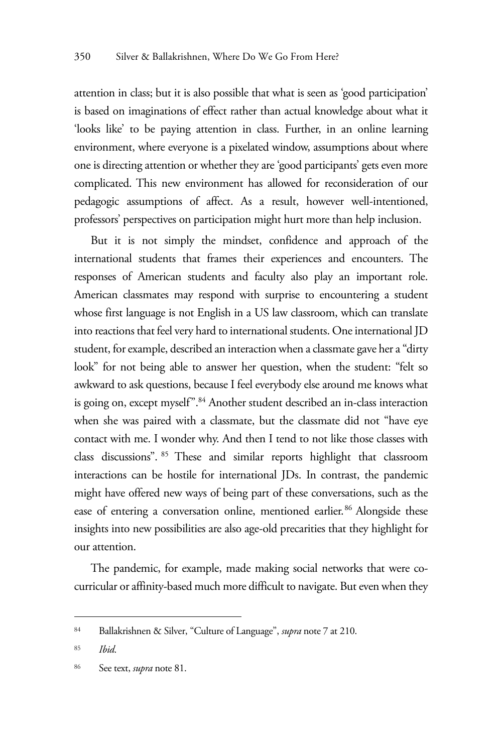attention in class; but it is also possible that what is seen as 'good participation' is based on imaginations of effect rather than actual knowledge about what it 'looks like' to be paying attention in class. Further, in an online learning environment, where everyone is a pixelated window, assumptions about where one is directing attention or whether they are 'good participants' gets even more complicated. This new environment has allowed for reconsideration of our pedagogic assumptions of affect. As a result, however well-intentioned, professors' perspectives on participation might hurt more than help inclusion.

But it is not simply the mindset, confidence and approach of the international students that frames their experiences and encounters. The responses of American students and faculty also play an important role. American classmates may respond with surprise to encountering a student whose first language is not English in a US law classroom, which can translate into reactions that feel very hard to international students. One international JD student, for example, described an interaction when a classmate gave her a "dirty look" for not being able to answer her question, when the student: "felt so awkward to ask questions, because I feel everybody else around me knows what is going on, except myself".<sup>84</sup> Another student described an in-class interaction when she was paired with a classmate, but the classmate did not "have eye contact with me. I wonder why. And then I tend to not like those classes with class discussions". 85 These and similar reports highlight that classroom interactions can be hostile for international JDs. In contrast, the pandemic might have offered new ways of being part of these conversations, such as the ease of entering a conversation online, mentioned earlier.<sup>86</sup> Alongside these insights into new possibilities are also age-old precarities that they highlight for our attention.

The pandemic, for example, made making social networks that were cocurricular or affinity-based much more difficult to navigate. But even when they

<sup>84</sup> Ballakrishnen & Silver, "Culture of Language", *supra* note 7 at 210.

<sup>85</sup> *Ibid*.

<sup>86</sup> See text, *supra* note 81.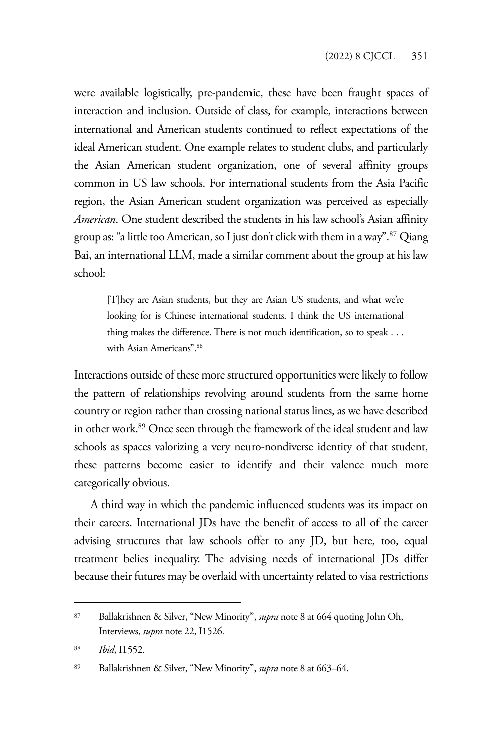were available logistically, pre-pandemic, these have been fraught spaces of interaction and inclusion. Outside of class, for example, interactions between international and American students continued to reflect expectations of the ideal American student. One example relates to student clubs, and particularly the Asian American student organization, one of several affinity groups common in US law schools. For international students from the Asia Pacific region, the Asian American student organization was perceived as especially *American*. One student described the students in his law school's Asian affinity group as: "a little too American, so I just don't click with them in a way".87 Qiang Bai, an international LLM, made a similar comment about the group at his law school:

[T]hey are Asian students, but they are Asian US students, and what we're looking for is Chinese international students. I think the US international thing makes the difference. There is not much identification, so to speak . . . with Asian Americans".88

Interactions outside of these more structured opportunities were likely to follow the pattern of relationships revolving around students from the same home country or region rather than crossing national status lines, as we have described in other work.89 Once seen through the framework of the ideal student and law schools as spaces valorizing a very neuro-nondiverse identity of that student, these patterns become easier to identify and their valence much more categorically obvious.

A third way in which the pandemic influenced students was its impact on their careers. International JDs have the benefit of access to all of the career advising structures that law schools offer to any JD, but here, too, equal treatment belies inequality. The advising needs of international JDs differ because their futures may be overlaid with uncertainty related to visa restrictions

<sup>87</sup> Ballakrishnen & Silver, "New Minority", *supra* note 8 at 664 quoting John Oh, Interviews, *supra* note 22, I1526.

<sup>88</sup> *Ibid*, I1552.

<sup>89</sup> Ballakrishnen & Silver, "New Minority", *supra* note 8 at 663–64.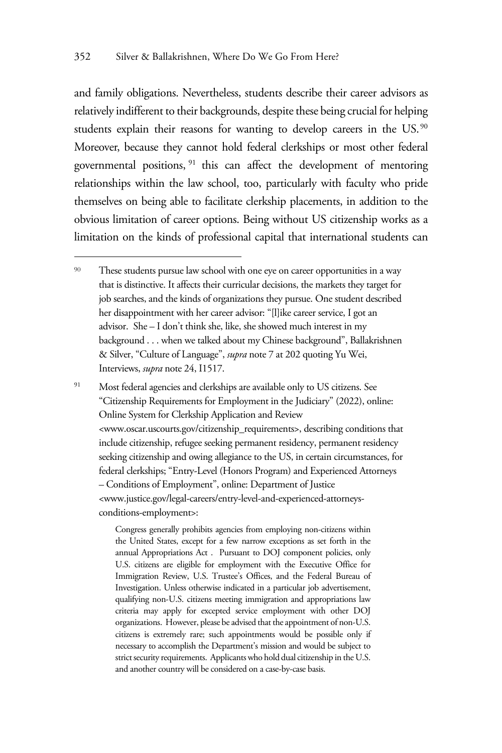and family obligations. Nevertheless, students describe their career advisors as relatively indifferent to their backgrounds, despite these being crucial for helping students explain their reasons for wanting to develop careers in the US.<sup>90</sup> Moreover, because they cannot hold federal clerkships or most other federal governmental positions, 91 this can affect the development of mentoring relationships within the law school, too, particularly with faculty who pride themselves on being able to facilitate clerkship placements, in addition to the obvious limitation of career options. Being without US citizenship works as a limitation on the kinds of professional capital that international students can

<sup>91</sup> Most federal agencies and clerkships are available only to US citizens. See "Citizenship Requirements for Employment in the Judiciary" (2022), online: Online System for Clerkship Application and Review <www.oscar.uscourts.gov/citizenship\_requirements>, describing conditions that include citizenship, refugee seeking permanent residency, permanent residency seeking citizenship and owing allegiance to the US, in certain circumstances, for federal clerkships; "Entry-Level (Honors Program) and Experienced Attorneys – Conditions of Employment", online: Department of Justice <www.justice.gov/legal-careers/entry-level-and-experienced-attorneysconditions-employment>:

> Congress generally prohibits agencies from employing non-citizens within the United States, except for a few narrow exceptions as set forth in the annual Appropriations Act . Pursuant to DOJ component policies, only U.S. citizens are eligible for employment with the Executive Office for Immigration Review, U.S. Trustee's Offices, and the Federal Bureau of Investigation. Unless otherwise indicated in a particular job advertisement, qualifying non-U.S. citizens meeting immigration and appropriations law criteria may apply for excepted service employment with other DOJ organizations. However, please be advised that the appointment of non-U.S. citizens is extremely rare; such appointments would be possible only if necessary to accomplish the Department's mission and would be subject to strict security requirements. Applicants who hold dual citizenship in the U.S. and another country will be considered on a case-by-case basis.

<sup>90</sup> These students pursue law school with one eye on career opportunities in a way that is distinctive. It affects their curricular decisions, the markets they target for job searches, and the kinds of organizations they pursue. One student described her disappointment with her career advisor: "[l]ike career service, I got an advisor. She – I don't think she, like, she showed much interest in my background . . . when we talked about my Chinese background", Ballakrishnen & Silver, "Culture of Language", *supra* note 7 at 202 quoting Yu Wei, Interviews, *supra* note 24, I1517.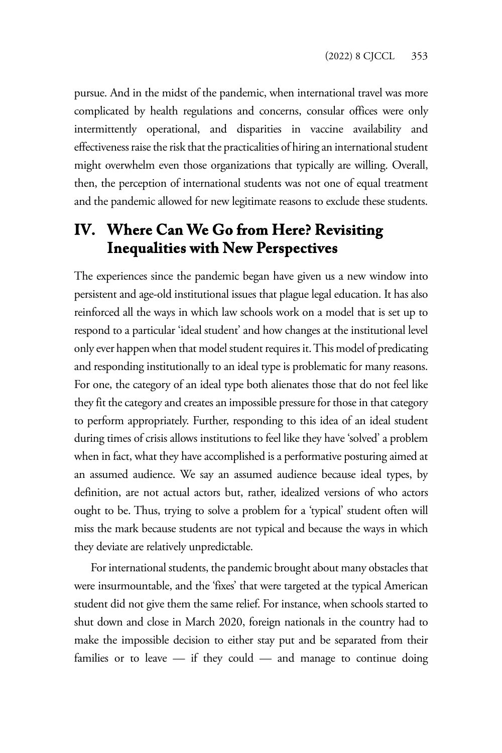pursue. And in the midst of the pandemic, when international travel was more complicated by health regulations and concerns, consular offices were only intermittently operational, and disparities in vaccine availability and effectiveness raise the risk that the practicalities of hiring an international student might overwhelm even those organizations that typically are willing. Overall, then, the perception of international students was not one of equal treatment and the pandemic allowed for new legitimate reasons to exclude these students.

# **IV. Where Can We Go from Here? Revisiting Inequalities with New Perspectives**

The experiences since the pandemic began have given us a new window into persistent and age-old institutional issues that plague legal education. It has also reinforced all the ways in which law schools work on a model that is set up to respond to a particular 'ideal student' and how changes at the institutional level only ever happen when that model student requires it. This model of predicating and responding institutionally to an ideal type is problematic for many reasons. For one, the category of an ideal type both alienates those that do not feel like they fit the category and creates an impossible pressure for those in that category to perform appropriately. Further, responding to this idea of an ideal student during times of crisis allows institutions to feel like they have 'solved' a problem when in fact, what they have accomplished is a performative posturing aimed at an assumed audience. We say an assumed audience because ideal types, by definition, are not actual actors but, rather, idealized versions of who actors ought to be. Thus, trying to solve a problem for a 'typical' student often will miss the mark because students are not typical and because the ways in which they deviate are relatively unpredictable.

For international students, the pandemic brought about many obstacles that were insurmountable, and the 'fixes' that were targeted at the typical American student did not give them the same relief. For instance, when schools started to shut down and close in March 2020, foreign nationals in the country had to make the impossible decision to either stay put and be separated from their families or to leave — if they could — and manage to continue doing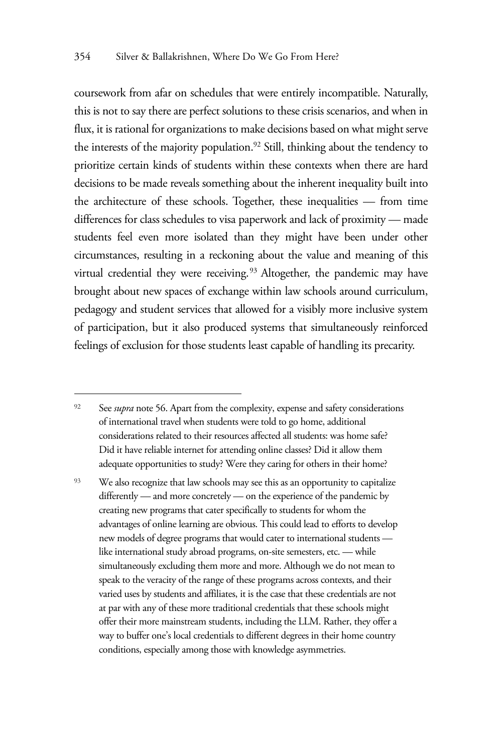coursework from afar on schedules that were entirely incompatible. Naturally, this is not to say there are perfect solutions to these crisis scenarios, and when in flux, it is rational for organizations to make decisions based on what might serve the interests of the majority population.<sup>92</sup> Still, thinking about the tendency to prioritize certain kinds of students within these contexts when there are hard decisions to be made reveals something about the inherent inequality built into the architecture of these schools. Together, these inequalities — from time differences for class schedules to visa paperwork and lack of proximity — made students feel even more isolated than they might have been under other circumstances, resulting in a reckoning about the value and meaning of this virtual credential they were receiving.<sup>93</sup> Altogether, the pandemic may have brought about new spaces of exchange within law schools around curriculum, pedagogy and student services that allowed for a visibly more inclusive system of participation, but it also produced systems that simultaneously reinforced feelings of exclusion for those students least capable of handling its precarity.

<sup>93</sup> We also recognize that law schools may see this as an opportunity to capitalize differently — and more concretely — on the experience of the pandemic by creating new programs that cater specifically to students for whom the advantages of online learning are obvious. This could lead to efforts to develop new models of degree programs that would cater to international students like international study abroad programs, on-site semesters, etc. — while simultaneously excluding them more and more. Although we do not mean to speak to the veracity of the range of these programs across contexts, and their varied uses by students and affiliates, it is the case that these credentials are not at par with any of these more traditional credentials that these schools might offer their more mainstream students, including the LLM. Rather, they offer a way to buffer one's local credentials to different degrees in their home country conditions, especially among those with knowledge asymmetries.

<sup>&</sup>lt;sup>92</sup> See *supra* note 56. Apart from the complexity, expense and safety considerations of international travel when students were told to go home, additional considerations related to their resources affected all students: was home safe? Did it have reliable internet for attending online classes? Did it allow them adequate opportunities to study? Were they caring for others in their home?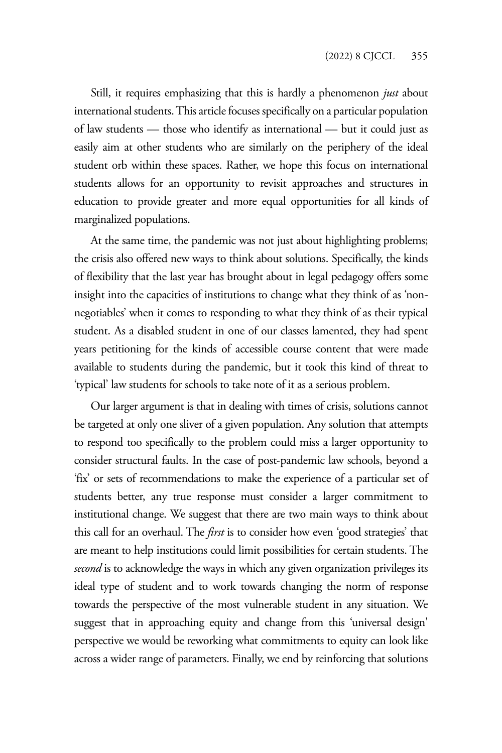Still, it requires emphasizing that this is hardly a phenomenon *just* about international students. This article focuses specifically on a particular population of law students — those who identify as international — but it could just as easily aim at other students who are similarly on the periphery of the ideal student orb within these spaces. Rather, we hope this focus on international students allows for an opportunity to revisit approaches and structures in education to provide greater and more equal opportunities for all kinds of marginalized populations.

At the same time, the pandemic was not just about highlighting problems; the crisis also offered new ways to think about solutions. Specifically, the kinds of flexibility that the last year has brought about in legal pedagogy offers some insight into the capacities of institutions to change what they think of as 'nonnegotiables' when it comes to responding to what they think of as their typical student. As a disabled student in one of our classes lamented, they had spent years petitioning for the kinds of accessible course content that were made available to students during the pandemic, but it took this kind of threat to 'typical' law students for schools to take note of it as a serious problem.

Our larger argument is that in dealing with times of crisis, solutions cannot be targeted at only one sliver of a given population. Any solution that attempts to respond too specifically to the problem could miss a larger opportunity to consider structural faults. In the case of post-pandemic law schools, beyond a 'fix' or sets of recommendations to make the experience of a particular set of students better, any true response must consider a larger commitment to institutional change. We suggest that there are two main ways to think about this call for an overhaul. The *first* is to consider how even 'good strategies' that are meant to help institutions could limit possibilities for certain students. The *second* is to acknowledge the ways in which any given organization privileges its ideal type of student and to work towards changing the norm of response towards the perspective of the most vulnerable student in any situation. We suggest that in approaching equity and change from this 'universal design' perspective we would be reworking what commitments to equity can look like across a wider range of parameters. Finally, we end by reinforcing that solutions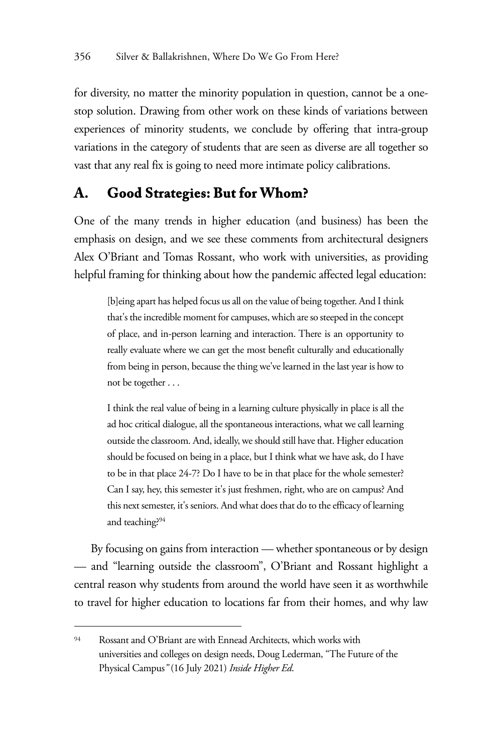for diversity, no matter the minority population in question, cannot be a onestop solution. Drawing from other work on these kinds of variations between experiences of minority students, we conclude by offering that intra-group variations in the category of students that are seen as diverse are all together so vast that any real fix is going to need more intimate policy calibrations.

#### **A. Good Strategies: But for Whom?**

One of the many trends in higher education (and business) has been the emphasis on design, and we see these comments from architectural designers Alex O'Briant and Tomas Rossant, who work with universities, as providing helpful framing for thinking about how the pandemic affected legal education:

[b]eing apart has helped focus us all on the value of being together. And I think that's the incredible moment for campuses, which are so steeped in the concept of place, and in-person learning and interaction. There is an opportunity to really evaluate where we can get the most benefit culturally and educationally from being in person, because the thing we've learned in the last year is how to not be together . . .

I think the real value of being in a learning culture physically in place is all the ad hoc critical dialogue, all the spontaneous interactions, what we call learning outside the classroom. And, ideally, we should still have that. Higher education should be focused on being in a place, but I think what we have ask, do I have to be in that place 24-7? Do I have to be in that place for the whole semester? Can I say, hey, this semester it's just freshmen, right, who are on campus? And this next semester, it's seniors. And what does that do to the efficacy of learning and teaching?94

By focusing on gains from interaction — whether spontaneous or by design — and "learning outside the classroom", O'Briant and Rossant highlight a central reason why students from around the world have seen it as worthwhile to travel for higher education to locations far from their homes, and why law

 $94$  Rossant and O'Briant are with Ennead Architects, which works with universities and colleges on design needs, Doug Lederman, "The Future of the Physical Campus*"* (16 July 2021) *Inside Higher Ed*.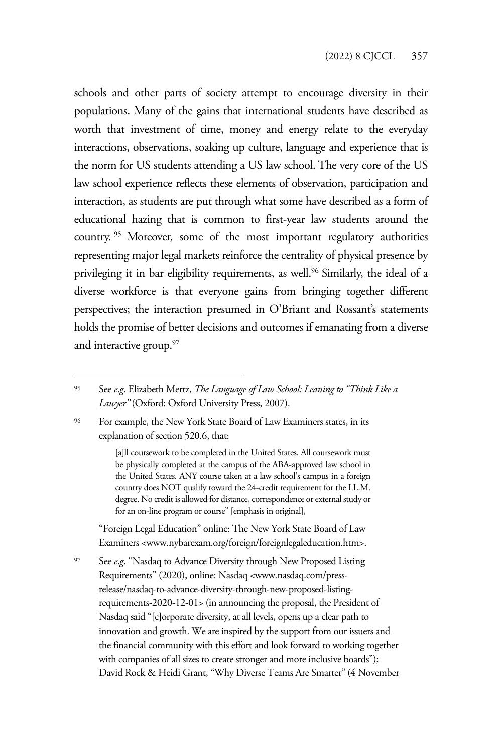schools and other parts of society attempt to encourage diversity in their populations. Many of the gains that international students have described as worth that investment of time, money and energy relate to the everyday interactions, observations, soaking up culture, language and experience that is the norm for US students attending a US law school. The very core of the US law school experience reflects these elements of observation, participation and interaction, as students are put through what some have described as a form of educational hazing that is common to first-year law students around the country. 95 Moreover, some of the most important regulatory authorities representing major legal markets reinforce the centrality of physical presence by privileging it in bar eligibility requirements, as well.<sup>96</sup> Similarly, the ideal of a diverse workforce is that everyone gains from bringing together different perspectives; the interaction presumed in O'Briant and Rossant's statements holds the promise of better decisions and outcomes if emanating from a diverse and interactive group.<sup>97</sup>

<sup>96</sup> For example, the New York State Board of Law Examiners states, in its explanation of section 520.6, that:

> [a]ll coursework to be completed in the United States. All coursework must be physically completed at the campus of the ABA-approved law school in the United States. ANY course taken at a law school's campus in a foreign country does NOT qualify toward the 24-credit requirement for the LL.M. degree. No credit is allowed for distance, correspondence or external study or for an on-line program or course" [emphasis in original],

"Foreign Legal Education" online: The New York State Board of Law Examiners <www.nybarexam.org/foreign/foreignlegaleducation.htm>.

<sup>97</sup> See *e*.*g*. "Nasdaq to Advance Diversity through New Proposed Listing Requirements" (2020), online: Nasdaq <www.nasdaq.com/pressrelease/nasdaq-to-advance-diversity-through-new-proposed-listingrequirements-2020-12-01> (in announcing the proposal, the President of Nasdaq said "[c]orporate diversity, at all levels, opens up a clear path to innovation and growth. We are inspired by the support from our issuers and the financial community with this effort and look forward to working together with companies of all sizes to create stronger and more inclusive boards"); David Rock & Heidi Grant, "Why Diverse Teams Are Smarter" (4 November

<sup>95</sup> See *e*.*g*. Elizabeth Mertz, *The Language of Law School: Leaning to "Think Like a Lawyer"* (Oxford: Oxford University Press, 2007).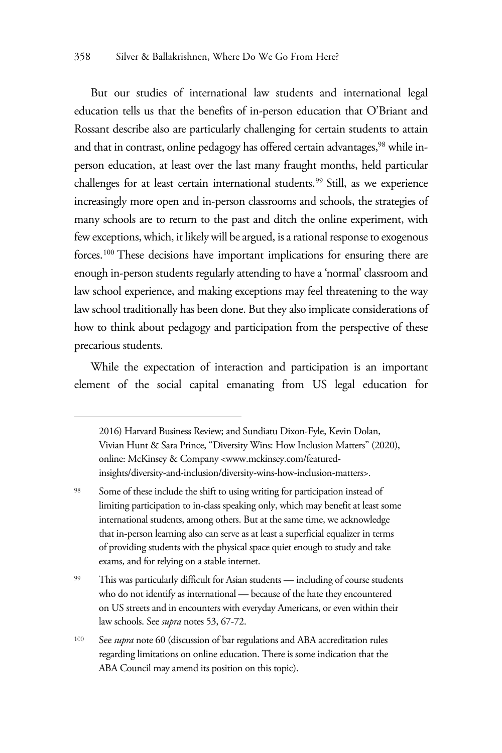But our studies of international law students and international legal education tells us that the benefits of in-person education that O'Briant and Rossant describe also are particularly challenging for certain students to attain and that in contrast, online pedagogy has offered certain advantages,<sup>98</sup> while inperson education, at least over the last many fraught months, held particular challenges for at least certain international students.<sup>99</sup> Still, as we experience increasingly more open and in-person classrooms and schools, the strategies of many schools are to return to the past and ditch the online experiment, with few exceptions, which, it likely will be argued, is a rational response to exogenous forces.100 These decisions have important implications for ensuring there are enough in-person students regularly attending to have a 'normal' classroom and law school experience, and making exceptions may feel threatening to the way law school traditionally has been done. But they also implicate considerations of how to think about pedagogy and participation from the perspective of these precarious students.

While the expectation of interaction and participation is an important element of the social capital emanating from US legal education for

2016) Harvard Business Review; and Sundiatu Dixon-Fyle, Kevin Dolan, Vivian Hunt & Sara Prince, "Diversity Wins: How Inclusion Matters" (2020), online: McKinsey & Company <www.mckinsey.com/featuredinsights/diversity-and-inclusion/diversity-wins-how-inclusion-matters>.

- <sup>99</sup> This was particularly difficult for Asian students including of course students who do not identify as international — because of the hate they encountered on US streets and in encounters with everyday Americans, or even within their law schools. See *supra* notes 53, 67-72.
- <sup>100</sup> See *supra* note 60 (discussion of bar regulations and ABA accreditation rules regarding limitations on online education. There is some indication that the ABA Council may amend its position on this topic).

<sup>&</sup>lt;sup>98</sup> Some of these include the shift to using writing for participation instead of limiting participation to in-class speaking only, which may benefit at least some international students, among others. But at the same time, we acknowledge that in-person learning also can serve as at least a superficial equalizer in terms of providing students with the physical space quiet enough to study and take exams, and for relying on a stable internet.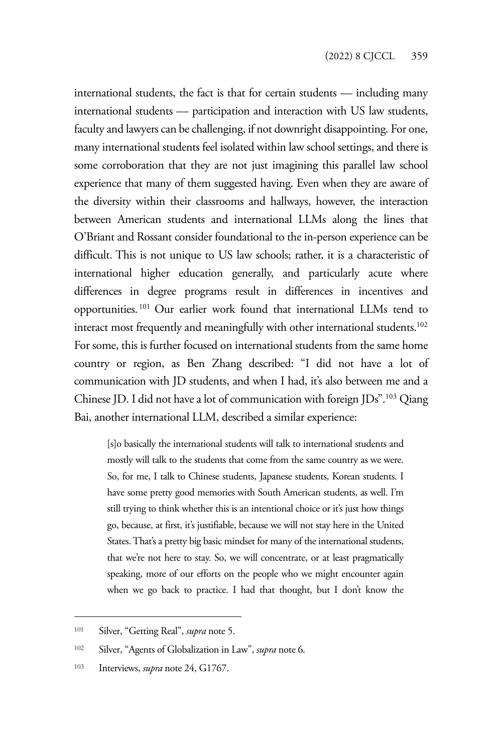international students, the fact is that for certain students — including many international students — participation and interaction with US law students, faculty and lawyers can be challenging, if not downright disappointing. For one, many international students feel isolated within law school settings, and there is some corroboration that they are not just imagining this parallel law school experience that many of them suggested having. Even when they are aware of the diversity within their classrooms and hallways, however, the interaction between American students and international LLMs along the lines that O'Briant and Rossant consider foundational to the in-person experience can be difficult. This is not unique to US law schools; rather, it is a characteristic of international higher education generally, and particularly acute where differences in degree programs result in differences in incentives and opportunities. 101 Our earlier work found that international LLMs tend to interact most frequently and meaningfully with other international students.<sup>102</sup> For some, this is further focused on international students from the same home country or region, as Ben Zhang described: "I did not have a lot of communication with JD students, and when I had, it's also between me and a Chinese JD. I did not have a lot of communication with foreign JDs".103 Qiang Bai, another international LLM, described a similar experience:

[s]o basically the international students will talk to international students and mostly will talk to the students that come from the same country as we were. So, for me, I talk to Chinese students, Japanese students, Korean students. I have some pretty good memories with South American students, as well. I'm still trying to think whether this is an intentional choice or it's just how things go, because, at first, it's justifiable, because we will not stay here in the United States. That's a pretty big basic mindset for many of the international students, that we're not here to stay. So, we will concentrate, or at least pragmatically speaking, more of our efforts on the people who we might encounter again when we go back to practice. I had that thought, but I don't know the

<sup>101</sup> Silver, "Getting Real", *supra* note 5.

<sup>102</sup> Silver, "Agents of Globalization in Law", *supra* note 6.

<sup>103</sup> Interviews, *supra* note 24, G1767.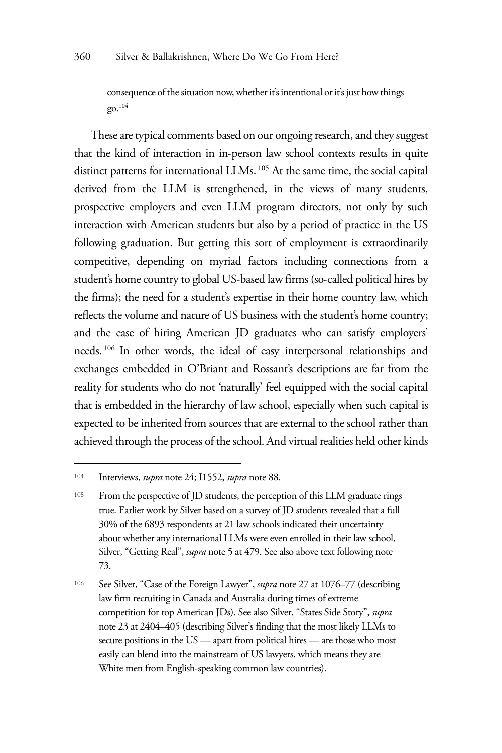consequence of the situation now, whether it's intentional or it's just how things go.104

These are typical comments based on our ongoing research, and they suggest that the kind of interaction in in-person law school contexts results in quite distinct patterns for international LLMs. 105 At the same time, the social capital derived from the LLM is strengthened, in the views of many students, prospective employers and even LLM program directors, not only by such interaction with American students but also by a period of practice in the US following graduation. But getting this sort of employment is extraordinarily competitive, depending on myriad factors including connections from a student's home country to global US-based law firms (so-called political hires by the firms); the need for a student's expertise in their home country law, which reflects the volume and nature of US business with the student's home country; and the ease of hiring American JD graduates who can satisfy employers' needs. 106 In other words, the ideal of easy interpersonal relationships and exchanges embedded in O'Briant and Rossant's descriptions are far from the reality for students who do not 'naturally' feel equipped with the social capital that is embedded in the hierarchy of law school, especially when such capital is expected to be inherited from sources that are external to the school rather than achieved through the process of the school. And virtual realities held other kinds

<sup>104</sup> Interviews, *supra* note 24; I1552, *supra* note 88.

<sup>&</sup>lt;sup>105</sup> From the perspective of JD students, the perception of this LLM graduate rings true. Earlier work by Silver based on a survey of JD students revealed that a full 30% of the 6893 respondents at 21 law schools indicated their uncertainty about whether any international LLMs were even enrolled in their law school, Silver, "Getting Real", *supra* note 5 at 479. See also above text following note 73.

<sup>106</sup> See Silver, "Case of the Foreign Lawyer", *supra* note 27 at 1076–77 (describing law firm recruiting in Canada and Australia during times of extreme competition for top American JDs). See also Silver, "States Side Story", *supra* note 23 at 2404–405 (describing Silver's finding that the most likely LLMs to secure positions in the US — apart from political hires — are those who most easily can blend into the mainstream of US lawyers, which means they are White men from English-speaking common law countries).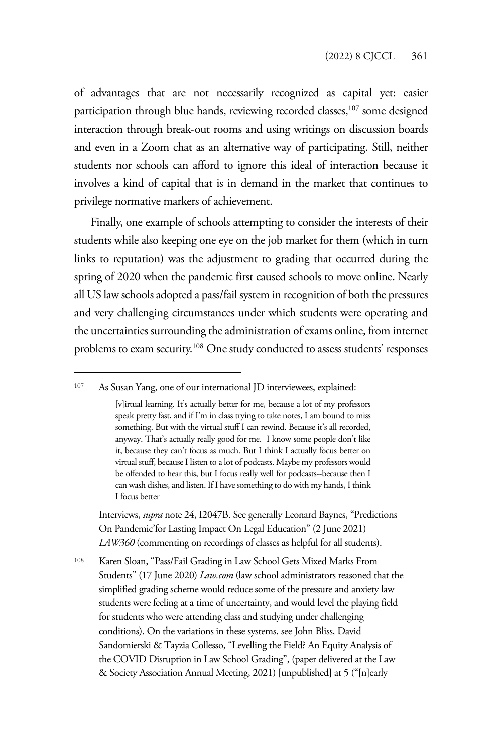of advantages that are not necessarily recognized as capital yet: easier participation through blue hands, reviewing recorded classes,<sup>107</sup> some designed interaction through break-out rooms and using writings on discussion boards and even in a Zoom chat as an alternative way of participating. Still, neither students nor schools can afford to ignore this ideal of interaction because it involves a kind of capital that is in demand in the market that continues to privilege normative markers of achievement.

Finally, one example of schools attempting to consider the interests of their students while also keeping one eye on the job market for them (which in turn links to reputation) was the adjustment to grading that occurred during the spring of 2020 when the pandemic first caused schools to move online. Nearly all US law schools adopted a pass/fail system in recognition of both the pressures and very challenging circumstances under which students were operating and the uncertainties surrounding the administration of exams online, from internet problems to exam security.108 One study conducted to assess students' responses

Interviews, *supra* note 24, I2047B. See generally Leonard Baynes, "Predictions On Pandemic'for Lasting Impact On Legal Education" (2 June 2021) *LAW360* (commenting on recordings of classes as helpful for all students).

<sup>108</sup> Karen Sloan, "Pass/Fail Grading in Law School Gets Mixed Marks From Students" (17 June 2020) *Law.com* (law school administrators reasoned that the simplified grading scheme would reduce some of the pressure and anxiety law students were feeling at a time of uncertainty, and would level the playing field for students who were attending class and studying under challenging conditions). On the variations in these systems, see John Bliss, David Sandomierski & Tayzia Collesso, "Levelling the Field? An Equity Analysis of the COVID Disruption in Law School Grading", (paper delivered at the Law & Society Association Annual Meeting, 2021) [unpublished] at 5 ("[n]early

<sup>107</sup> As Susan Yang, one of our international JD interviewees, explained:

<sup>[</sup>v]irtual learning. It's actually better for me, because a lot of my professors speak pretty fast, and if I'm in class trying to take notes, I am bound to miss something. But with the virtual stuff I can rewind. Because it's all recorded, anyway. That's actually really good for me. I know some people don't like it, because they can't focus as much. But I think I actually focus better on virtual stuff, because I listen to a lot of podcasts. Maybe my professors would be offended to hear this, but I focus really well for podcasts--because then I can wash dishes, and listen. If I have something to do with my hands, I think I focus better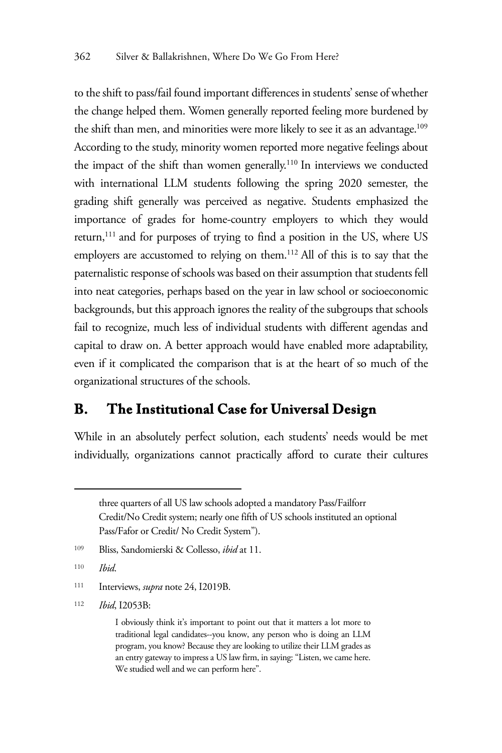to the shift to pass/fail found important differences in students' sense of whether the change helped them. Women generally reported feeling more burdened by the shift than men, and minorities were more likely to see it as an advantage.<sup>109</sup> According to the study, minority women reported more negative feelings about the impact of the shift than women generally.<sup>110</sup> In interviews we conducted with international LLM students following the spring 2020 semester, the grading shift generally was perceived as negative. Students emphasized the importance of grades for home-country employers to which they would return,<sup>111</sup> and for purposes of trying to find a position in the US, where US employers are accustomed to relying on them.112 All of this is to say that the paternalistic response of schools was based on their assumption that students fell into neat categories, perhaps based on the year in law school or socioeconomic backgrounds, but this approach ignores the reality of the subgroups that schools fail to recognize, much less of individual students with different agendas and capital to draw on. A better approach would have enabled more adaptability, even if it complicated the comparison that is at the heart of so much of the organizational structures of the schools.

#### **B. The Institutional Case for Universal Design**

While in an absolutely perfect solution, each students' needs would be met individually, organizations cannot practically afford to curate their cultures

<sup>112</sup> *Ibid*, I2053B:

three quarters of all US law schools adopted a mandatory Pass/Failforr Credit/No Credit system; nearly one fifth of US schools instituted an optional Pass/Fafor or Credit/ No Credit System").

<sup>109</sup> Bliss, Sandomierski & Collesso, *ibid* at 11.

<sup>110</sup> *Ibid*.

<sup>111</sup> Interviews, *supra* note 24, I2019B.

I obviously think it's important to point out that it matters a lot more to traditional legal candidates--you know, any person who is doing an LLM program, you know? Because they are looking to utilize their LLM grades as an entry gateway to impress a US law firm, in saying: "Listen, we came here. We studied well and we can perform here".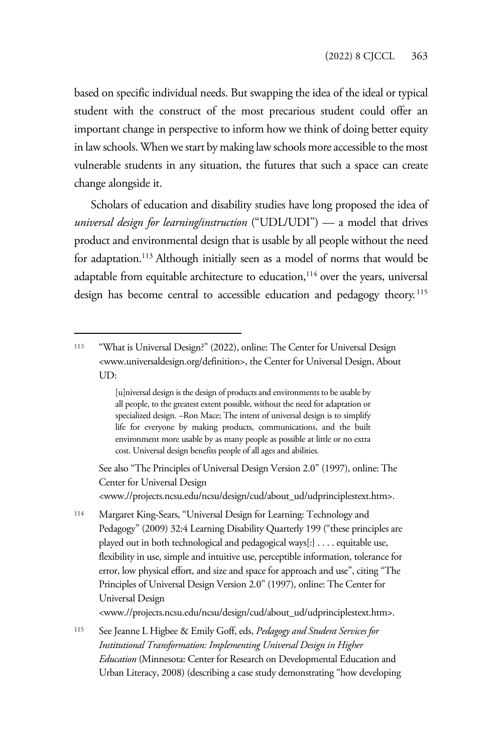based on specific individual needs. But swapping the idea of the ideal or typical student with the construct of the most precarious student could offer an important change in perspective to inform how we think of doing better equity in law schools. When we start by making law schools more accessible to the most vulnerable students in any situation, the futures that such a space can create change alongside it.

Scholars of education and disability studies have long proposed the idea of *universal design for learning/instruction* ("UDL/UDI") — a model that drives product and environmental design that is usable by all people without the need for adaptation.<sup>113</sup> Although initially seen as a model of norms that would be adaptable from equitable architecture to education,<sup>114</sup> over the years, universal design has become central to accessible education and pedagogy theory.<sup>115</sup>

See also "The Principles of Universal Design Version 2.0" (1997), online: The Center for Universal Design <www.//projects.ncsu.edu/ncsu/design/cud/about\_ud/udprinciplestext.htm>.

<sup>114</sup> Margaret King-Sears, "Universal Design for Learning: Technology and Pedagogy" (2009) 32:4 Learning Disability Quarterly 199 ("these principles are played out in both technological and pedagogical ways[:} . . . . equitable use, flexibility in use, simple and intuitive use, perceptible information, tolerance for error, low physical effort, and size and space for approach and use", citing "The Principles of Universal Design Version 2.0" (1997), online: The Center for Universal Design

<www.//projects.ncsu.edu/ncsu/design/cud/about\_ud/udprinciplestext.htm>.

<sup>115</sup> See Jeanne L Higbee & Emily Goff, eds, *Pedagogy and Student Services for Institutional Transformation: Implementing Universal Design in Higher Education* (Minnesota: Center for Research on Developmental Education and Urban Literacy, 2008) (describing a case study demonstrating "how developing

<sup>113</sup> "What is Universal Design?" (2022), online: The Center for Universal Design <www.universaldesign.org/definition>, the Center for Universal Design, About UD:

<sup>[</sup>u]niversal design is the design of products and environments to be usable by all people, to the greatest extent possible, without the need for adaptation or specialized design. –Ron Mace; The intent of universal design is to simplify life for everyone by making products, communications, and the built environment more usable by as many people as possible at little or no extra cost. Universal design benefits people of all ages and abilities.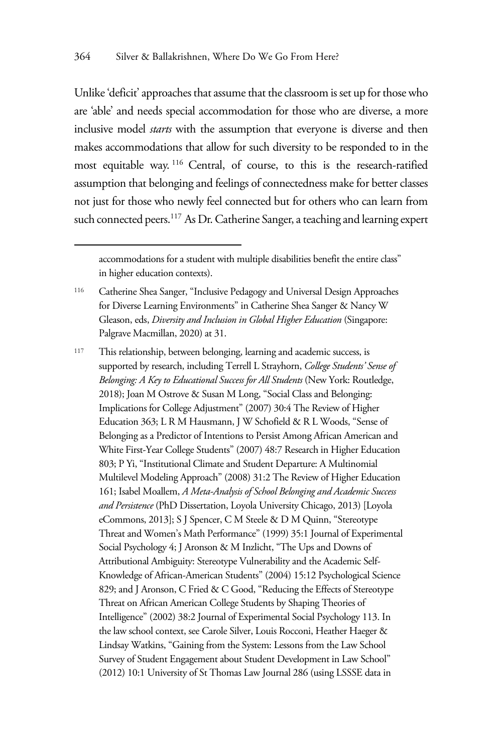Unlike 'deficit' approaches that assume that the classroom is set up for those who are 'able' and needs special accommodation for those who are diverse, a more inclusive model *starts* with the assumption that everyone is diverse and then makes accommodations that allow for such diversity to be responded to in the most equitable way. 116 Central, of course, to this is the research-ratified assumption that belonging and feelings of connectedness make for better classes not just for those who newly feel connected but for others who can learn from such connected peers.<sup>117</sup> As Dr. Catherine Sanger, a teaching and learning expert

accommodations for a student with multiple disabilities benefit the entire class" in higher education contexts).

<sup>116</sup> Catherine Shea Sanger, "Inclusive Pedagogy and Universal Design Approaches for Diverse Learning Environments" in Catherine Shea Sanger & Nancy W Gleason, eds, *Diversity and Inclusion in Global Higher Education* (Singapore: Palgrave Macmillan, 2020) at 31.

<sup>117</sup> This relationship, between belonging, learning and academic success, is supported by research, including Terrell L Strayhorn, *College Students' Sense of Belonging: A Key to Educational Success for All Students* (New York: Routledge, 2018); Joan M Ostrove & Susan M Long, "Social Class and Belonging: Implications for College Adjustment" (2007) 30:4 The Review of Higher Education 363; L R M Hausmann, J W Schofield & R L Woods, "Sense of Belonging as a Predictor of Intentions to Persist Among African American and White First-Year College Students" (2007) 48:7 Research in Higher Education 803; P Yi, "Institutional Climate and Student Departure: A Multinomial Multilevel Modeling Approach" (2008) 31:2 The Review of Higher Education 161; Isabel Moallem, *A Meta-Analysis of School Belonging and Academic Success and Persistence* (PhD Dissertation, Loyola University Chicago, 2013) [Loyola eCommons, 2013]; S J Spencer, C M Steele & D M Quinn, "Stereotype Threat and Women's Math Performance" (1999) 35:1 Journal of Experimental Social Psychology 4; J Aronson & M Inzlicht, "The Ups and Downs of Attributional Ambiguity: Stereotype Vulnerability and the Academic Self-Knowledge of African-American Students" (2004) 15:12 Psychological Science 829; and J Aronson, C Fried & C Good, "Reducing the Effects of Stereotype Threat on African American College Students by Shaping Theories of Intelligence" (2002) 38:2 Journal of Experimental Social Psychology 113. In the law school context, see Carole Silver, Louis Rocconi, Heather Haeger & Lindsay Watkins, "Gaining from the System: Lessons from the Law School Survey of Student Engagement about Student Development in Law School" (2012) 10:1 University of St Thomas Law Journal 286 (using LSSSE data in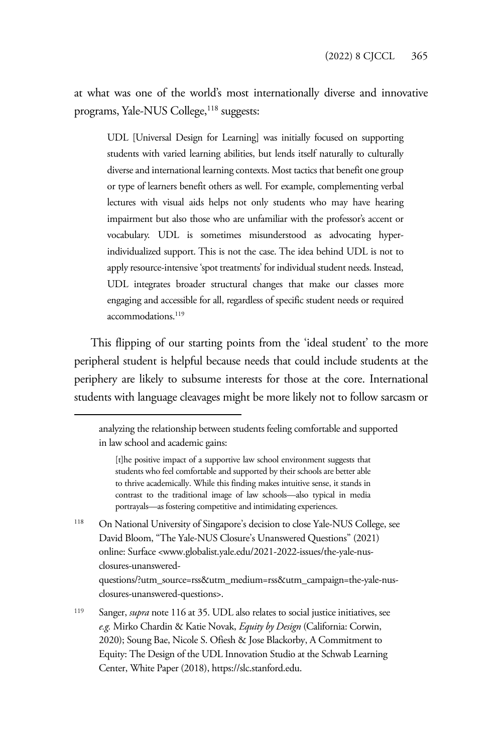at what was one of the world's most internationally diverse and innovative programs, Yale-NUS College,<sup>118</sup> suggests:

UDL [Universal Design for Learning] was initially focused on supporting students with varied learning abilities, but lends itself naturally to culturally diverse and international learning contexts. Most tactics that benefit one group or type of learners benefit others as well. For example, complementing verbal lectures with visual aids helps not only students who may have hearing impairment but also those who are unfamiliar with the professor's accent or vocabulary. UDL is sometimes misunderstood as advocating hyperindividualized support. This is not the case. The idea behind UDL is not to apply resource-intensive 'spot treatments' for individual student needs. Instead, UDL integrates broader structural changes that make our classes more engaging and accessible for all, regardless of specific student needs or required accommodations.<sup>119</sup>

This flipping of our starting points from the 'ideal student' to the more peripheral student is helpful because needs that could include students at the periphery are likely to subsume interests for those at the core. International students with language cleavages might be more likely not to follow sarcasm or

118 On National University of Singapore's decision to close Yale-NUS College, see David Bloom, "The Yale-NUS Closure's Unanswered Questions" (2021) online: Surface <www.globalist.yale.edu/2021-2022-issues/the-yale-nusclosures-unanswered-

questions/?utm\_source=rss&utm\_medium=rss&utm\_campaign=the-yale-nusclosures-unanswered-questions>.

<sup>119</sup> Sanger, *supra* note 116 at 35. UDL also relates to social justice initiatives, see *e.g.* Mirko Chardin & Katie Novak, *Equity by Design* (California: Corwin, 2020); Soung Bae, Nicole S. Ofiesh & Jose Blackorby, A Commitment to Equity: The Design of the UDL Innovation Studio at the Schwab Learning Center, White Paper (2018), https://slc.stanford.edu.

analyzing the relationship between students feeling comfortable and supported in law school and academic gains:

<sup>[</sup>t]he positive impact of a supportive law school environment suggests that students who feel comfortable and supported by their schools are better able to thrive academically. While this finding makes intuitive sense, it stands in contrast to the traditional image of law schools—also typical in media portrayals—as fostering competitive and intimidating experiences.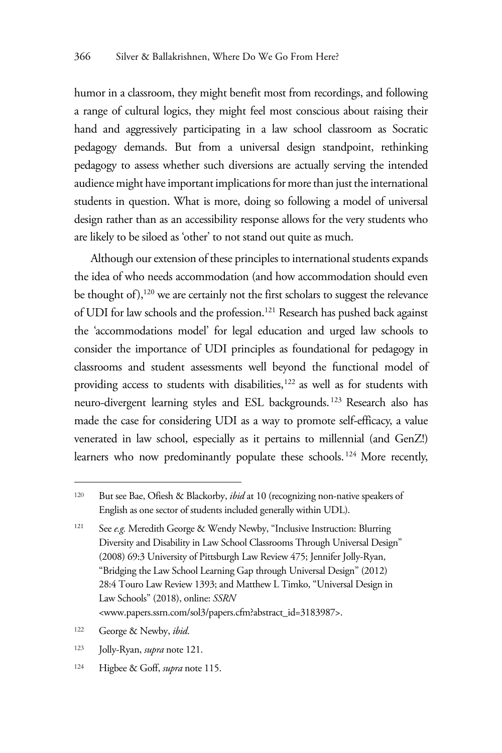humor in a classroom, they might benefit most from recordings, and following a range of cultural logics, they might feel most conscious about raising their hand and aggressively participating in a law school classroom as Socratic pedagogy demands. But from a universal design standpoint, rethinking pedagogy to assess whether such diversions are actually serving the intended audience might have important implications for more than just the international students in question. What is more, doing so following a model of universal design rather than as an accessibility response allows for the very students who are likely to be siloed as 'other' to not stand out quite as much.

Although our extension of these principles to international students expands the idea of who needs accommodation (and how accommodation should even be thought of), $120$  we are certainly not the first scholars to suggest the relevance of UDI for law schools and the profession.<sup>121</sup> Research has pushed back against the 'accommodations model' for legal education and urged law schools to consider the importance of UDI principles as foundational for pedagogy in classrooms and student assessments well beyond the functional model of providing access to students with disabilities,<sup>122</sup> as well as for students with neuro-divergent learning styles and ESL backgrounds. 123 Research also has made the case for considering UDI as a way to promote self-efficacy, a value venerated in law school, especially as it pertains to millennial (and GenZ!) learners who now predominantly populate these schools. 124 More recently,

<sup>120</sup> But see Bae, Ofiesh & Blackorby, *ibid* at 10 (recognizing non-native speakers of English as one sector of students included generally within UDL).

<sup>121</sup> See *e.g.* Meredith George & Wendy Newby, "Inclusive Instruction: Blurring Diversity and Disability in Law School Classrooms Through Universal Design" (2008) 69:3 University of Pittsburgh Law Review 475; Jennifer Jolly-Ryan, "Bridging the Law School Learning Gap through Universal Design" (2012) 28:4 Touro Law Review 1393; and Matthew L Timko, "Universal Design in Law Schools" (2018), online: *SSRN* <www.papers.ssrn.com/sol3/papers.cfm?abstract\_id=3183987>.

<sup>122</sup> George & Newby, *ibid*.

<sup>123</sup> Jolly-Ryan, *supra* note 121.

<sup>124</sup> Higbee & Goff, *supra* note 115.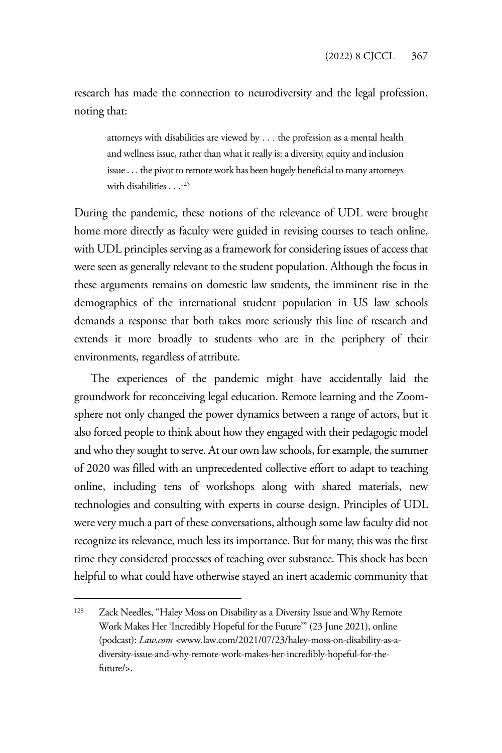research has made the connection to neurodiversity and the legal profession, noting that:

attorneys with disabilities are viewed by . . . the profession as a mental health and wellness issue, rather than what it really is: a diversity, equity and inclusion issue . . . the pivot to remote work has been hugely beneficial to many attorneys with disabilities . . .<sup>125</sup>

During the pandemic, these notions of the relevance of UDL were brought home more directly as faculty were guided in revising courses to teach online, with UDL principles serving as a framework for considering issues of access that were seen as generally relevant to the student population. Although the focus in these arguments remains on domestic law students, the imminent rise in the demographics of the international student population in US law schools demands a response that both takes more seriously this line of research and extends it more broadly to students who are in the periphery of their environments, regardless of attribute.

The experiences of the pandemic might have accidentally laid the groundwork for reconceiving legal education. Remote learning and the Zoomsphere not only changed the power dynamics between a range of actors, but it also forced people to think about how they engaged with their pedagogic model and who they sought to serve. At our own law schools, for example, the summer of 2020 was filled with an unprecedented collective effort to adapt to teaching online, including tens of workshops along with shared materials, new technologies and consulting with experts in course design. Principles of UDL were very much a part of these conversations, although some law faculty did not recognize its relevance, much less its importance. But for many, this was the first time they considered processes of teaching over substance. This shock has been helpful to what could have otherwise stayed an inert academic community that

<sup>125</sup> Zack Needles, "Haley Moss on Disability as a Diversity Issue and Why Remote Work Makes Her 'Incredibly Hopeful for the Future'" (23 June 2021), online (podcast): *Law.com <*www.law.com/2021/07/23/haley-moss-on-disability-as-adiversity-issue-and-why-remote-work-makes-her-incredibly-hopeful-for-thefuture/>.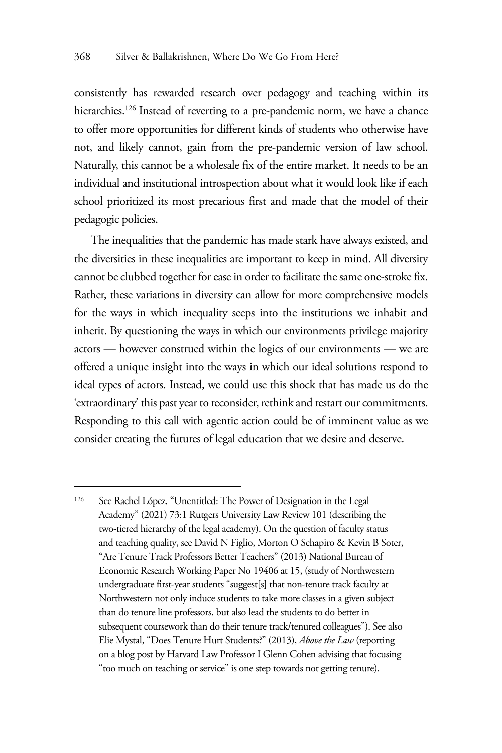consistently has rewarded research over pedagogy and teaching within its hierarchies.<sup>126</sup> Instead of reverting to a pre-pandemic norm, we have a chance to offer more opportunities for different kinds of students who otherwise have not, and likely cannot, gain from the pre-pandemic version of law school. Naturally, this cannot be a wholesale fix of the entire market. It needs to be an individual and institutional introspection about what it would look like if each school prioritized its most precarious first and made that the model of their pedagogic policies.

The inequalities that the pandemic has made stark have always existed, and the diversities in these inequalities are important to keep in mind. All diversity cannot be clubbed together for ease in order to facilitate the same one-stroke fix. Rather, these variations in diversity can allow for more comprehensive models for the ways in which inequality seeps into the institutions we inhabit and inherit. By questioning the ways in which our environments privilege majority actors — however construed within the logics of our environments — we are offered a unique insight into the ways in which our ideal solutions respond to ideal types of actors. Instead, we could use this shock that has made us do the 'extraordinary' this past year to reconsider, rethink and restart our commitments. Responding to this call with agentic action could be of imminent value as we consider creating the futures of legal education that we desire and deserve.

<sup>126</sup> See Rachel López, "Unentitled: The Power of Designation in the Legal Academy" (2021) 73:1 Rutgers University Law Review 101 (describing the two-tiered hierarchy of the legal academy). On the question of faculty status and teaching quality, see David N Figlio, Morton O Schapiro & Kevin B Soter, "Are Tenure Track Professors Better Teachers" (2013) National Bureau of Economic Research Working Paper No 19406 at 15, (study of Northwestern undergraduate first-year students "suggest[s] that non-tenure track faculty at Northwestern not only induce students to take more classes in a given subject than do tenure line professors, but also lead the students to do better in subsequent coursework than do their tenure track/tenured colleagues"). See also Elie Mystal, "Does Tenure Hurt Students?" (2013), *Above the Law* (reporting on a blog post by Harvard Law Professor I Glenn Cohen advising that focusing "too much on teaching or service" is one step towards not getting tenure).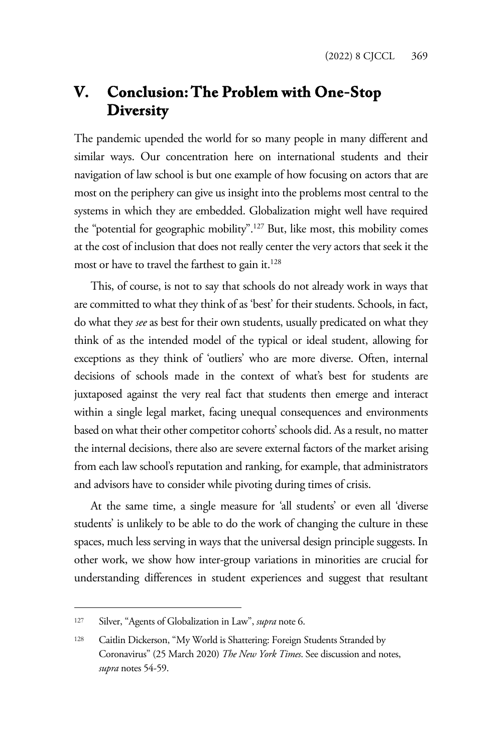# **V. Conclusion: The Problem with One-Stop Diversity**

The pandemic upended the world for so many people in many different and similar ways. Our concentration here on international students and their navigation of law school is but one example of how focusing on actors that are most on the periphery can give us insight into the problems most central to the systems in which they are embedded. Globalization might well have required the "potential for geographic mobility".127 But, like most, this mobility comes at the cost of inclusion that does not really center the very actors that seek it the most or have to travel the farthest to gain it.<sup>128</sup>

This, of course, is not to say that schools do not already work in ways that are committed to what they think of as 'best' for their students. Schools, in fact, do what they *see* as best for their own students, usually predicated on what they think of as the intended model of the typical or ideal student, allowing for exceptions as they think of 'outliers' who are more diverse. Often, internal decisions of schools made in the context of what's best for students are juxtaposed against the very real fact that students then emerge and interact within a single legal market, facing unequal consequences and environments based on what their other competitor cohorts' schools did. As a result, no matter the internal decisions, there also are severe external factors of the market arising from each law school's reputation and ranking, for example, that administrators and advisors have to consider while pivoting during times of crisis.

At the same time, a single measure for 'all students' or even all 'diverse students' is unlikely to be able to do the work of changing the culture in these spaces, much less serving in ways that the universal design principle suggests. In other work, we show how inter-group variations in minorities are crucial for understanding differences in student experiences and suggest that resultant

<sup>127</sup> Silver, "Agents of Globalization in Law", *supra* note 6.

<sup>128</sup> Caitlin Dickerson, "My World is Shattering: Foreign Students Stranded by Coronavirus" (25 March 2020) *The New York Times*. See discussion and notes, *supra* notes 54-59.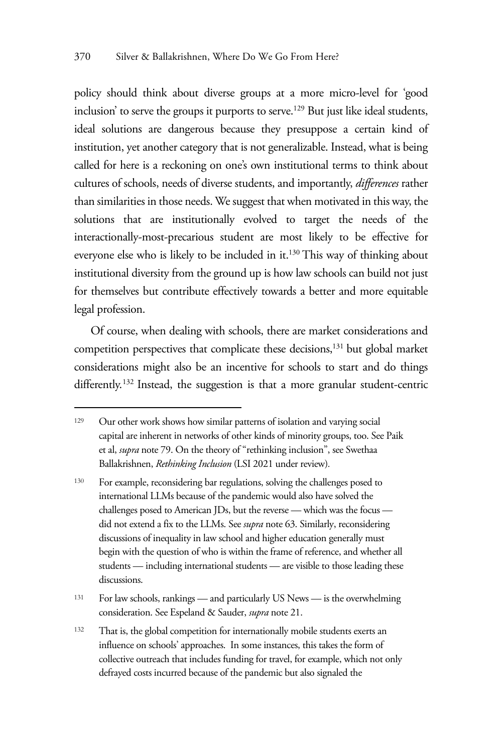policy should think about diverse groups at a more micro-level for 'good inclusion' to serve the groups it purports to serve.<sup>129</sup> But just like ideal students, ideal solutions are dangerous because they presuppose a certain kind of institution, yet another category that is not generalizable. Instead, what is being called for here is a reckoning on one's own institutional terms to think about cultures of schools, needs of diverse students, and importantly, *differences* rather than similarities in those needs. We suggest that when motivated in this way, the solutions that are institutionally evolved to target the needs of the interactionally-most-precarious student are most likely to be effective for everyone else who is likely to be included in it.130 This way of thinking about institutional diversity from the ground up is how law schools can build not just for themselves but contribute effectively towards a better and more equitable legal profession.

Of course, when dealing with schools, there are market considerations and competition perspectives that complicate these decisions,<sup>131</sup> but global market considerations might also be an incentive for schools to start and do things differently.<sup>132</sup> Instead, the suggestion is that a more granular student-centric

<sup>129</sup> Our other work shows how similar patterns of isolation and varying social capital are inherent in networks of other kinds of minority groups, too. See Paik et al, *supra* note 79. On the theory of "rethinking inclusion", see Swethaa Ballakrishnen, *Rethinking Inclusion* (LSI 2021 under review)*.* 

<sup>130</sup> For example, reconsidering bar regulations, solving the challenges posed to international LLMs because of the pandemic would also have solved the challenges posed to American JDs, but the reverse — which was the focus did not extend a fix to the LLMs. See *supra* note 63. Similarly, reconsidering discussions of inequality in law school and higher education generally must begin with the question of who is within the frame of reference, and whether all students — including international students — are visible to those leading these discussions.

<sup>131</sup> For law schools, rankings — and particularly US News — is the overwhelming consideration. See Espeland & Sauder, *supra* note 21.

<sup>132</sup> That is, the global competition for internationally mobile students exerts an influence on schools' approaches. In some instances, this takes the form of collective outreach that includes funding for travel, for example, which not only defrayed costs incurred because of the pandemic but also signaled the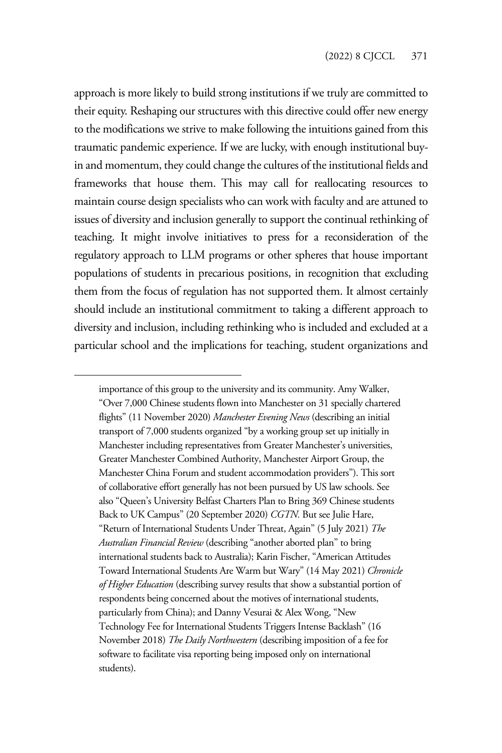approach is more likely to build strong institutions if we truly are committed to their equity. Reshaping our structures with this directive could offer new energy to the modifications we strive to make following the intuitions gained from this traumatic pandemic experience. If we are lucky, with enough institutional buyin and momentum, they could change the cultures of the institutional fields and frameworks that house them. This may call for reallocating resources to maintain course design specialists who can work with faculty and are attuned to issues of diversity and inclusion generally to support the continual rethinking of teaching. It might involve initiatives to press for a reconsideration of the regulatory approach to LLM programs or other spheres that house important populations of students in precarious positions, in recognition that excluding them from the focus of regulation has not supported them. It almost certainly should include an institutional commitment to taking a different approach to diversity and inclusion, including rethinking who is included and excluded at a particular school and the implications for teaching, student organizations and

importance of this group to the university and its community. Amy Walker, "Over 7,000 Chinese students flown into Manchester on 31 specially chartered flights" (11 November 2020) *Manchester Evening News* (describing an initial transport of 7,000 students organized "by a working group set up initially in Manchester including representatives from Greater Manchester's universities, Greater Manchester Combined Authority, Manchester Airport Group, the Manchester China Forum and student accommodation providers"). This sort of collaborative effort generally has not been pursued by US law schools. See also "Queen's University Belfast Charters Plan to Bring 369 Chinese students Back to UK Campus" (20 September 2020) *CGTN.* But see Julie Hare, "Return of International Students Under Threat, Again" (5 July 2021) *The Australian Financial Review* (describing "another aborted plan" to bring international students back to Australia); Karin Fischer, "American Attitudes Toward International Students Are Warm but Wary" (14 May 2021) *Chronicle of Higher Education* (describing survey results that show a substantial portion of respondents being concerned about the motives of international students, particularly from China); and Danny Vesurai & Alex Wong, "New Technology Fee for International Students Triggers Intense Backlash" (16 November 2018) *The Daily Northwestern* (describing imposition of a fee for software to facilitate visa reporting being imposed only on international students).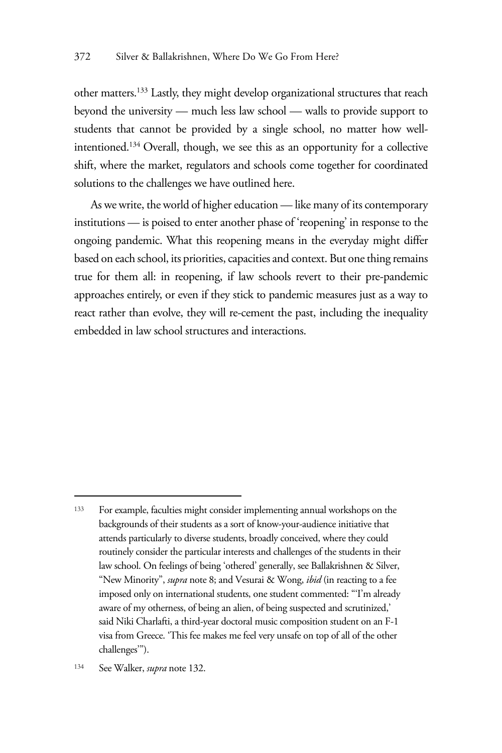other matters.133 Lastly, they might develop organizational structures that reach beyond the university — much less law school — walls to provide support to students that cannot be provided by a single school, no matter how wellintentioned.134 Overall, though, we see this as an opportunity for a collective shift, where the market, regulators and schools come together for coordinated solutions to the challenges we have outlined here.

As we write, the world of higher education — like many of its contemporary institutions — is poised to enter another phase of 'reopening' in response to the ongoing pandemic. What this reopening means in the everyday might differ based on each school, its priorities, capacities and context. But one thing remains true for them all: in reopening, if law schools revert to their pre-pandemic approaches entirely, or even if they stick to pandemic measures just as a way to react rather than evolve, they will re-cement the past, including the inequality embedded in law school structures and interactions.

<sup>133</sup> For example, faculties might consider implementing annual workshops on the backgrounds of their students as a sort of know-your-audience initiative that attends particularly to diverse students, broadly conceived, where they could routinely consider the particular interests and challenges of the students in their law school. On feelings of being 'othered' generally, see Ballakrishnen & Silver, "New Minority", *supra* note 8; and Vesurai & Wong, *ibid* (in reacting to a fee imposed only on international students, one student commented: "'I'm already aware of my otherness, of being an alien, of being suspected and scrutinized,' said Niki Charlafti, a third-year doctoral music composition student on an F-1 visa from Greece. 'This fee makes me feel very unsafe on top of all of the other challenges'").

<sup>134</sup> See Walker, *supra* note 132.